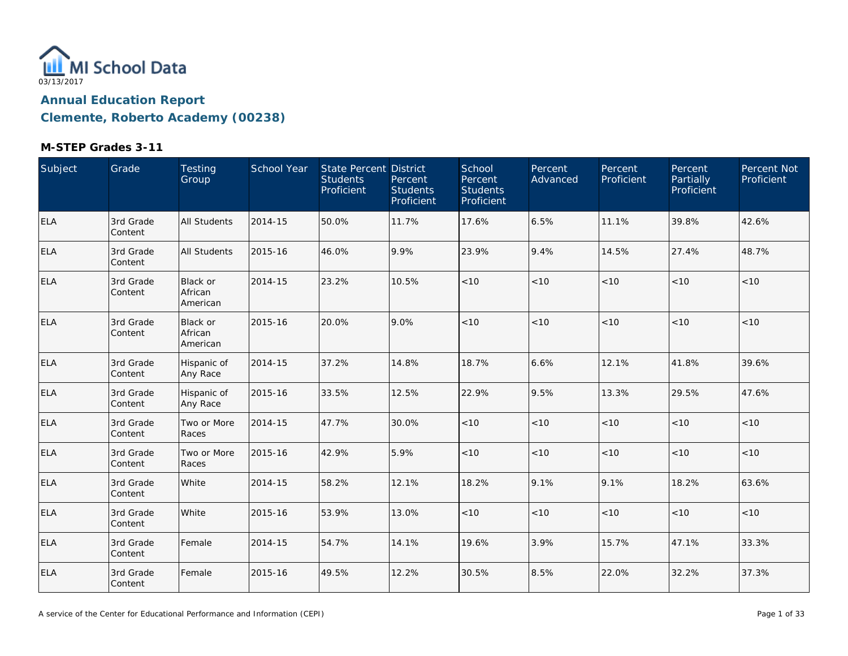

| Subject    | Grade                | <b>Testing</b><br>Group         | School Year | State Percent District<br><b>Students</b><br>Proficient | Percent<br><b>Students</b><br>Proficient | School<br>Percent<br><b>Students</b><br>Proficient | Percent<br>Advanced | Percent<br>Proficient | Percent<br>Partially<br>Proficient | Percent Not<br>Proficient |
|------------|----------------------|---------------------------------|-------------|---------------------------------------------------------|------------------------------------------|----------------------------------------------------|---------------------|-----------------------|------------------------------------|---------------------------|
| <b>ELA</b> | 3rd Grade<br>Content | <b>All Students</b>             | 2014-15     | 50.0%                                                   | 11.7%                                    | 17.6%                                              | 6.5%                | 11.1%                 | 39.8%                              | 42.6%                     |
| <b>ELA</b> | 3rd Grade<br>Content | <b>All Students</b>             | 2015-16     | 46.0%                                                   | 9.9%                                     | 23.9%                                              | 9.4%                | 14.5%                 | 27.4%                              | 48.7%                     |
| <b>ELA</b> | 3rd Grade<br>Content | Black or<br>African<br>American | 2014-15     | 23.2%                                                   | 10.5%                                    | $<10$                                              | $<10$               | < 10                  | < 10                               | < 10                      |
| <b>ELA</b> | 3rd Grade<br>Content | Black or<br>African<br>American | 2015-16     | 20.0%                                                   | 9.0%                                     | < 10                                               | < 10                | < 10                  | < 10                               | < 10                      |
| <b>ELA</b> | 3rd Grade<br>Content | Hispanic of<br>Any Race         | 2014-15     | 37.2%                                                   | 14.8%                                    | 18.7%                                              | 6.6%                | 12.1%                 | 41.8%                              | 39.6%                     |
| <b>ELA</b> | 3rd Grade<br>Content | Hispanic of<br>Any Race         | 2015-16     | 33.5%                                                   | 12.5%                                    | 22.9%                                              | 9.5%                | 13.3%                 | 29.5%                              | 47.6%                     |
| <b>ELA</b> | 3rd Grade<br>Content | Two or More<br>Races            | 2014-15     | 47.7%                                                   | 30.0%                                    | $<10$                                              | $<10$               | < 10                  | < 10                               | < 10                      |
| <b>ELA</b> | 3rd Grade<br>Content | Two or More<br>Races            | 2015-16     | 42.9%                                                   | 5.9%                                     | < 10                                               | < 10                | < 10                  | < 10                               | < 10                      |
| <b>ELA</b> | 3rd Grade<br>Content | White                           | 2014-15     | 58.2%                                                   | 12.1%                                    | 18.2%                                              | 9.1%                | 9.1%                  | 18.2%                              | 63.6%                     |
| <b>ELA</b> | 3rd Grade<br>Content | White                           | 2015-16     | 53.9%                                                   | 13.0%                                    | $<10$                                              | $<10$               | < 10                  | < 10                               | < 10                      |
| <b>ELA</b> | 3rd Grade<br>Content | Female                          | 2014-15     | 54.7%                                                   | 14.1%                                    | 19.6%                                              | 3.9%                | 15.7%                 | 47.1%                              | 33.3%                     |
| <b>ELA</b> | 3rd Grade<br>Content | Female                          | 2015-16     | 49.5%                                                   | 12.2%                                    | 30.5%                                              | 8.5%                | 22.0%                 | 32.2%                              | 37.3%                     |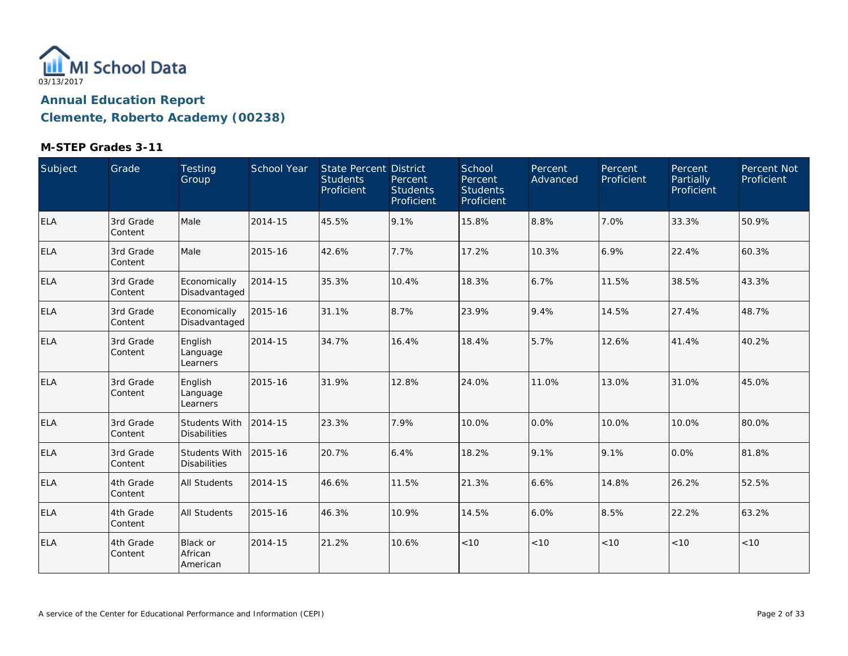

| Subject    | Grade                 | <b>Testing</b><br>Group                | <b>School Year</b> | <b>State Percent District</b><br><b>Students</b><br>Proficient | Percent<br><b>Students</b><br>Proficient | School<br>Percent<br><b>Students</b><br>Proficient | Percent<br>Advanced | Percent<br>Proficient | Percent<br>Partially<br>Proficient | Percent Not<br>Proficient |
|------------|-----------------------|----------------------------------------|--------------------|----------------------------------------------------------------|------------------------------------------|----------------------------------------------------|---------------------|-----------------------|------------------------------------|---------------------------|
| <b>ELA</b> | 3rd Grade<br>Content  | Male                                   | 2014-15            | 45.5%                                                          | 9.1%                                     | 15.8%                                              | 8.8%                | 7.0%                  | 33.3%                              | 50.9%                     |
| <b>ELA</b> | 3rd Grade<br>Content  | Male                                   | 2015-16            | 42.6%                                                          | 7.7%                                     | 17.2%                                              | 10.3%               | 6.9%                  | 22.4%                              | 60.3%                     |
| <b>ELA</b> | 3rd Grade<br>Content  | Economically<br>Disadvantaged          | 2014-15            | 35.3%                                                          | 10.4%                                    | 18.3%                                              | 6.7%                | 11.5%                 | 38.5%                              | 43.3%                     |
| <b>ELA</b> | 3rd Grade<br>Content  | Economically<br>Disadvantaged          | 2015-16            | 31.1%                                                          | 8.7%                                     | 23.9%                                              | 9.4%                | 14.5%                 | 27.4%                              | 48.7%                     |
| <b>ELA</b> | 3rd Grade<br>Content  | English<br>Language<br>Learners        | 2014-15            | 34.7%                                                          | 16.4%                                    | 18.4%                                              | 5.7%                | 12.6%                 | 41.4%                              | 40.2%                     |
| <b>ELA</b> | 3rd Grade<br>Content  | English<br>Language<br>Learners        | 2015-16            | 31.9%                                                          | 12.8%                                    | 24.0%                                              | 11.0%               | 13.0%                 | 31.0%                              | 45.0%                     |
| <b>ELA</b> | 3rd Grade<br>Content  | Students With<br><b>Disabilities</b>   | 2014-15            | 23.3%                                                          | 7.9%                                     | 10.0%                                              | 0.0%                | 10.0%                 | 10.0%                              | 80.0%                     |
| <b>ELA</b> | 3rd Grade<br>Content  | Students With<br><b>Disabilities</b>   | 2015-16            | 20.7%                                                          | 6.4%                                     | 18.2%                                              | 9.1%                | 9.1%                  | 0.0%                               | 81.8%                     |
| <b>ELA</b> | 4th Grade<br> Content | All Students                           | 2014-15            | 46.6%                                                          | 11.5%                                    | 21.3%                                              | 6.6%                | 14.8%                 | 26.2%                              | 52.5%                     |
| <b>ELA</b> | 4th Grade<br>Content  | <b>All Students</b>                    | 2015-16            | 46.3%                                                          | 10.9%                                    | 14.5%                                              | 6.0%                | 8.5%                  | 22.2%                              | 63.2%                     |
| <b>ELA</b> | 4th Grade<br>Content  | <b>Black or</b><br>African<br>American | 2014-15            | 21.2%                                                          | 10.6%                                    | < 10                                               | < 10                | < 10                  | < 10                               | < 10                      |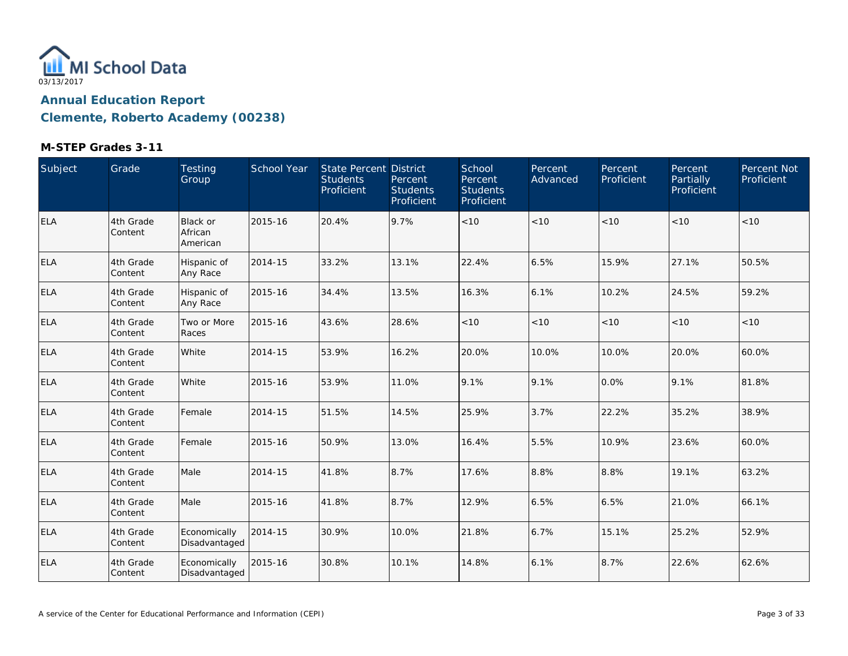

| Subject    | Grade                | Testing<br>Group                | <b>School Year</b> | State Percent District<br><b>Students</b><br>Proficient | Percent<br><b>Students</b><br>Proficient | School<br>Percent<br><b>Students</b><br>Proficient | Percent<br>Advanced | Percent<br>Proficient | Percent<br>Partially<br>Proficient | Percent Not<br>Proficient |
|------------|----------------------|---------------------------------|--------------------|---------------------------------------------------------|------------------------------------------|----------------------------------------------------|---------------------|-----------------------|------------------------------------|---------------------------|
| <b>ELA</b> | 4th Grade<br>Content | Black or<br>African<br>American | 2015-16            | 20.4%                                                   | 9.7%                                     | < 10                                               | < 10                | <10                   | < 10                               | <10                       |
| <b>ELA</b> | 4th Grade<br>Content | Hispanic of<br>Any Race         | 2014-15            | 33.2%                                                   | 13.1%                                    | 22.4%                                              | 6.5%                | 15.9%                 | 27.1%                              | 50.5%                     |
| <b>ELA</b> | 4th Grade<br>Content | Hispanic of<br>Any Race         | 2015-16            | 34.4%                                                   | 13.5%                                    | 16.3%                                              | 6.1%                | 10.2%                 | 24.5%                              | 59.2%                     |
| <b>ELA</b> | 4th Grade<br>Content | Two or More<br>Races            | 2015-16            | 43.6%                                                   | 28.6%                                    | < 10                                               | < 10                | $<10$                 | < 10                               | <10                       |
| <b>ELA</b> | 4th Grade<br>Content | White                           | 2014-15            | 53.9%                                                   | 16.2%                                    | 20.0%                                              | 10.0%               | 10.0%                 | 20.0%                              | 60.0%                     |
| <b>ELA</b> | 4th Grade<br>Content | White                           | 2015-16            | 53.9%                                                   | 11.0%                                    | 9.1%                                               | 9.1%                | 0.0%                  | 9.1%                               | 81.8%                     |
| <b>ELA</b> | 4th Grade<br>Content | Female                          | 2014-15            | 51.5%                                                   | 14.5%                                    | 25.9%                                              | 3.7%                | 22.2%                 | 35.2%                              | 38.9%                     |
| <b>ELA</b> | 4th Grade<br>Content | Female                          | 2015-16            | 50.9%                                                   | 13.0%                                    | 16.4%                                              | 5.5%                | 10.9%                 | 23.6%                              | 60.0%                     |
| <b>ELA</b> | 4th Grade<br>Content | Male                            | 2014-15            | 41.8%                                                   | 8.7%                                     | 17.6%                                              | 8.8%                | 8.8%                  | 19.1%                              | 63.2%                     |
| <b>ELA</b> | 4th Grade<br>Content | Male                            | 2015-16            | 41.8%                                                   | 8.7%                                     | 12.9%                                              | 6.5%                | 6.5%                  | 21.0%                              | 66.1%                     |
| <b>ELA</b> | 4th Grade<br>Content | Economically<br>Disadvantaged   | 2014-15            | 30.9%                                                   | 10.0%                                    | 21.8%                                              | 6.7%                | 15.1%                 | 25.2%                              | 52.9%                     |
| <b>ELA</b> | 4th Grade<br>Content | Economically<br>Disadvantaged   | 2015-16            | 30.8%                                                   | 10.1%                                    | 14.8%                                              | 6.1%                | 8.7%                  | 22.6%                              | 62.6%                     |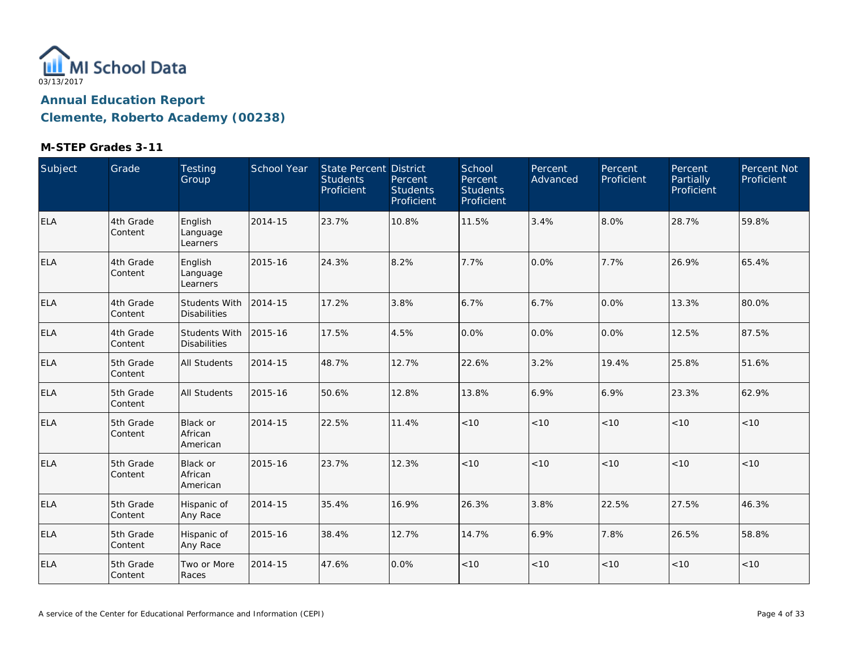

| Subject    | Grade                 | Testing<br>Group                            | School Year | <b>State Percent District</b><br><b>Students</b><br>Proficient | Percent<br><b>Students</b><br>Proficient | School<br>Percent<br><b>Students</b><br>Proficient | Percent<br>Advanced | Percent<br>Proficient | Percent<br>Partially<br>Proficient | Percent Not<br>Proficient |
|------------|-----------------------|---------------------------------------------|-------------|----------------------------------------------------------------|------------------------------------------|----------------------------------------------------|---------------------|-----------------------|------------------------------------|---------------------------|
| ELA        | 4th Grade<br>Content  | English<br>Language<br>Learners             | 2014-15     | 23.7%                                                          | 10.8%                                    | 11.5%                                              | 3.4%                | 8.0%                  | 28.7%                              | 59.8%                     |
| <b>ELA</b> | 4th Grade<br>Content  | English<br>Language<br>Learners             | 2015-16     | 24.3%                                                          | 8.2%                                     | 7.7%                                               | 0.0%                | 7.7%                  | 26.9%                              | 65.4%                     |
| ELA        | 4th Grade<br>Content  | <b>Students With</b><br><b>Disabilities</b> | 2014-15     | 17.2%                                                          | 3.8%                                     | 6.7%                                               | 6.7%                | 0.0%                  | 13.3%                              | 80.0%                     |
| <b>ELA</b> | 4th Grade<br> Content | Students With<br><b>Disabilities</b>        | 2015-16     | 17.5%                                                          | 4.5%                                     | 0.0%                                               | 0.0%                | 0.0%                  | 12.5%                              | 87.5%                     |
| ELA        | 5th Grade<br>Content  | <b>All Students</b>                         | 2014-15     | 48.7%                                                          | 12.7%                                    | 22.6%                                              | 3.2%                | 19.4%                 | 25.8%                              | 51.6%                     |
| <b>ELA</b> | 5th Grade<br>Content  | <b>All Students</b>                         | 2015-16     | 50.6%                                                          | 12.8%                                    | 13.8%                                              | 6.9%                | 6.9%                  | 23.3%                              | 62.9%                     |
| <b>ELA</b> | 5th Grade<br>Content  | <b>Black or</b><br>African<br>American      | 2014-15     | 22.5%                                                          | 11.4%                                    | $<10$                                              | $<10$               | $<10$                 | < 10                               | <10                       |
| <b>ELA</b> | 5th Grade<br>Content  | Black or<br>African<br>American             | 2015-16     | 23.7%                                                          | 12.3%                                    | < 10                                               | < 10                | < 10                  | < 10                               | < 10                      |
| <b>ELA</b> | 5th Grade<br>Content  | Hispanic of<br>Any Race                     | 2014-15     | 35.4%                                                          | 16.9%                                    | 26.3%                                              | 3.8%                | 22.5%                 | 27.5%                              | 46.3%                     |
| <b>ELA</b> | 5th Grade<br>Content  | Hispanic of<br>Any Race                     | 2015-16     | 38.4%                                                          | 12.7%                                    | 14.7%                                              | 6.9%                | 7.8%                  | 26.5%                              | 58.8%                     |
| <b>ELA</b> | 5th Grade<br>Content  | Two or More<br>Races                        | 2014-15     | 47.6%                                                          | 0.0%                                     | $<10$                                              | $<10$               | $<10$                 | < 10                               | < 10                      |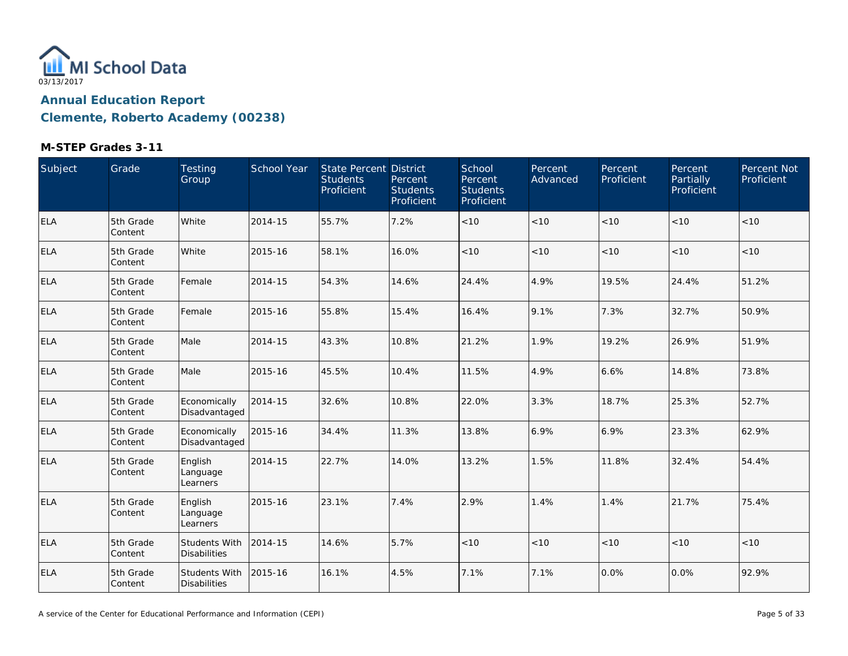

| Subject    | Grade                | <b>Testing</b><br>Group                     | School Year | <b>State Percent District</b><br><b>Students</b><br>Proficient | Percent<br><b>Students</b><br>Proficient | School<br>Percent<br><b>Students</b><br>Proficient | Percent<br>Advanced | Percent<br>Proficient | Percent<br>Partially<br>Proficient | Percent Not<br>Proficient |
|------------|----------------------|---------------------------------------------|-------------|----------------------------------------------------------------|------------------------------------------|----------------------------------------------------|---------------------|-----------------------|------------------------------------|---------------------------|
| <b>ELA</b> | 5th Grade<br>Content | White                                       | 2014-15     | 55.7%                                                          | 7.2%                                     | $<10$                                              | < 10                | < 10                  | < 10                               | $<10$                     |
| <b>ELA</b> | 5th Grade<br>Content | White                                       | 2015-16     | 58.1%                                                          | 16.0%                                    | < 10                                               | < 10                | < 10                  | < 10                               | < 10                      |
| <b>ELA</b> | 5th Grade<br>Content | Female                                      | 2014-15     | 54.3%                                                          | 14.6%                                    | 24.4%                                              | 4.9%                | 19.5%                 | 24.4%                              | 51.2%                     |
| <b>ELA</b> | 5th Grade<br>Content | Female                                      | 2015-16     | 55.8%                                                          | 15.4%                                    | 16.4%                                              | 9.1%                | 7.3%                  | 32.7%                              | 50.9%                     |
| <b>ELA</b> | 5th Grade<br>Content | Male                                        | 2014-15     | 43.3%                                                          | 10.8%                                    | 21.2%                                              | 1.9%                | 19.2%                 | 26.9%                              | 51.9%                     |
| <b>ELA</b> | 5th Grade<br>Content | Male                                        | 2015-16     | 45.5%                                                          | 10.4%                                    | 11.5%                                              | 4.9%                | 6.6%                  | 14.8%                              | 73.8%                     |
| <b>ELA</b> | 5th Grade<br>Content | Economically<br>Disadvantaged               | 2014-15     | 32.6%                                                          | 10.8%                                    | 22.0%                                              | 3.3%                | 18.7%                 | 25.3%                              | 52.7%                     |
| <b>ELA</b> | 5th Grade<br>Content | Economically<br>Disadvantaged               | 2015-16     | 34.4%                                                          | 11.3%                                    | 13.8%                                              | 6.9%                | 6.9%                  | 23.3%                              | 62.9%                     |
| <b>ELA</b> | 5th Grade<br>Content | English<br>Language<br>Learners             | 2014-15     | 22.7%                                                          | 14.0%                                    | 13.2%                                              | 1.5%                | 11.8%                 | 32.4%                              | 54.4%                     |
| <b>ELA</b> | 5th Grade<br>Content | English<br>Language<br>Learners             | 2015-16     | 23.1%                                                          | 7.4%                                     | 2.9%                                               | 1.4%                | 1.4%                  | 21.7%                              | 75.4%                     |
| <b>ELA</b> | 5th Grade<br>Content | <b>Students With</b><br><b>Disabilities</b> | 2014-15     | 14.6%                                                          | 5.7%                                     | < 10                                               | < 10                | < 10                  | < 10                               | < 10                      |
| <b>ELA</b> | 5th Grade<br>Content | Students With<br><b>Disabilities</b>        | 2015-16     | 16.1%                                                          | 4.5%                                     | 7.1%                                               | 7.1%                | 0.0%                  | 0.0%                               | 92.9%                     |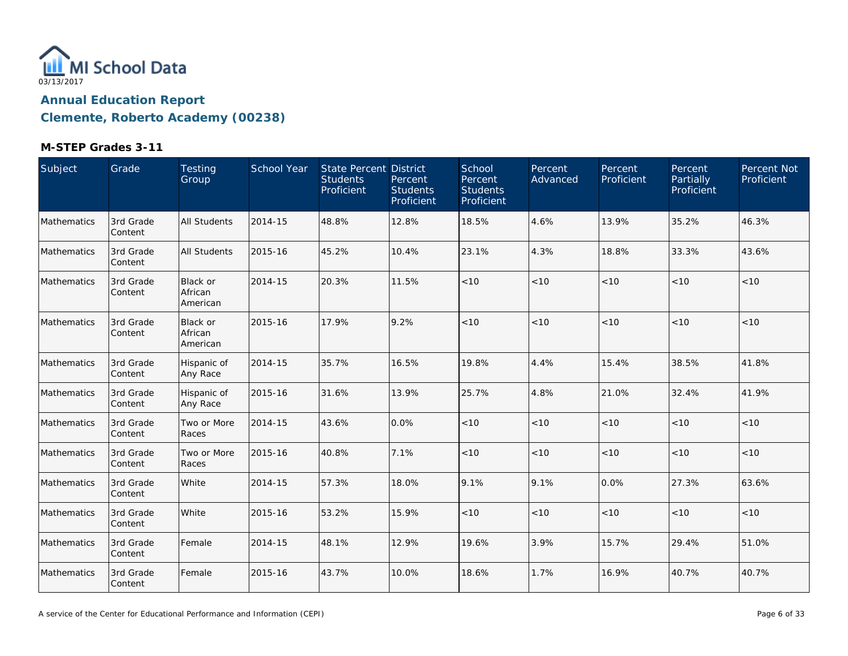

| Subject     | Grade                | Testing<br>Group                | School Year | <b>State Percent District</b><br><b>Students</b><br>Proficient | Percent<br><b>Students</b><br>Proficient | School<br>Percent<br><b>Students</b><br>Proficient | Percent<br>Advanced | Percent<br>Proficient | Percent<br>Partially<br>Proficient | Percent Not<br>Proficient |
|-------------|----------------------|---------------------------------|-------------|----------------------------------------------------------------|------------------------------------------|----------------------------------------------------|---------------------|-----------------------|------------------------------------|---------------------------|
| Mathematics | 3rd Grade<br>Content | <b>All Students</b>             | 2014-15     | 48.8%                                                          | 12.8%                                    | 18.5%                                              | 4.6%                | 13.9%                 | 35.2%                              | 46.3%                     |
| Mathematics | 3rd Grade<br>Content | <b>All Students</b>             | 2015-16     | 45.2%                                                          | 10.4%                                    | 23.1%                                              | 4.3%                | 18.8%                 | 33.3%                              | 43.6%                     |
| Mathematics | 3rd Grade<br>Content | Black or<br>African<br>American | 2014-15     | 20.3%                                                          | 11.5%                                    | < 10                                               | < 10                | < 10                  | < 10                               | < 10                      |
| Mathematics | 3rd Grade<br>Content | Black or<br>African<br>American | 2015-16     | 17.9%                                                          | 9.2%                                     | < 10                                               | < 10                | < 10                  | < 10                               | < 10                      |
| Mathematics | 3rd Grade<br>Content | Hispanic of<br>Any Race         | 2014-15     | 35.7%                                                          | 16.5%                                    | 19.8%                                              | 4.4%                | 15.4%                 | 38.5%                              | 41.8%                     |
| Mathematics | 3rd Grade<br>Content | Hispanic of<br>Any Race         | 2015-16     | 31.6%                                                          | 13.9%                                    | 25.7%                                              | 4.8%                | 21.0%                 | 32.4%                              | 41.9%                     |
| Mathematics | 3rd Grade<br>Content | Two or More<br>Races            | 2014-15     | 43.6%                                                          | 0.0%                                     | < 10                                               | < 10                | < 10                  | < 10                               | <10                       |
| Mathematics | 3rd Grade<br>Content | Two or More<br>Races            | 2015-16     | 40.8%                                                          | 7.1%                                     | $<10$                                              | < 10                | < 10                  | < 10                               | < 10                      |
| Mathematics | 3rd Grade<br>Content | White                           | 2014-15     | 57.3%                                                          | 18.0%                                    | 9.1%                                               | 9.1%                | 0.0%                  | 27.3%                              | 63.6%                     |
| Mathematics | 3rd Grade<br>Content | White                           | 2015-16     | 53.2%                                                          | 15.9%                                    | $<10$                                              | < 10                | < 10                  | < 10                               | < 10                      |
| Mathematics | 3rd Grade<br>Content | Female                          | 2014-15     | 48.1%                                                          | 12.9%                                    | 19.6%                                              | 3.9%                | 15.7%                 | 29.4%                              | 51.0%                     |
| Mathematics | 3rd Grade<br>Content | Female                          | 2015-16     | 43.7%                                                          | 10.0%                                    | 18.6%                                              | 1.7%                | 16.9%                 | 40.7%                              | 40.7%                     |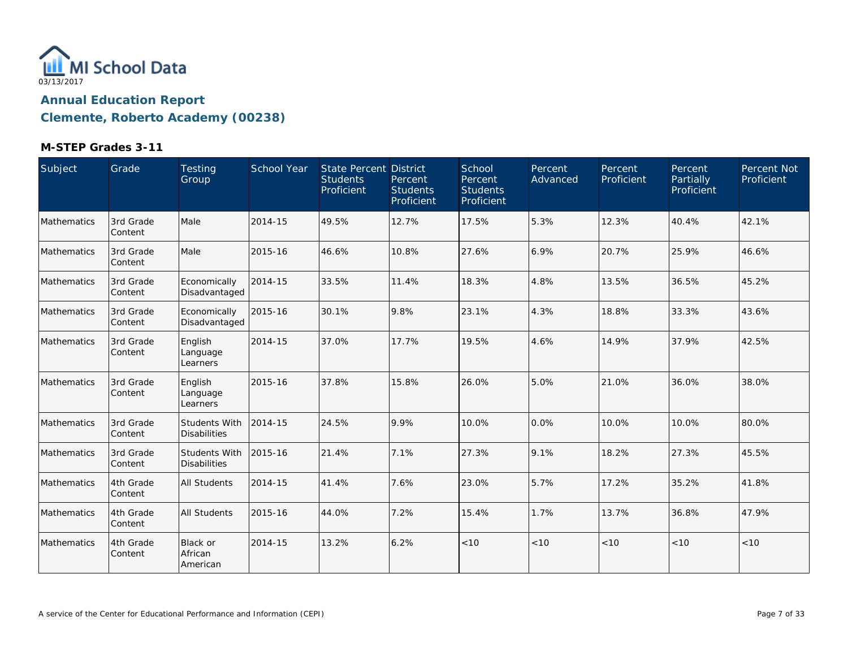

| Subject            | Grade                 | Testing<br>Group                            | <b>School Year</b> | <b>State Percent District</b><br><b>Students</b><br>Proficient | Percent<br><b>Students</b><br>Proficient | School<br>Percent<br><b>Students</b><br>Proficient | Percent<br>Advanced | Percent<br>Proficient | Percent<br>Partially<br>Proficient | Percent Not<br>Proficient |
|--------------------|-----------------------|---------------------------------------------|--------------------|----------------------------------------------------------------|------------------------------------------|----------------------------------------------------|---------------------|-----------------------|------------------------------------|---------------------------|
| <b>Mathematics</b> | 3rd Grade<br>Content  | Male                                        | 2014-15            | 49.5%                                                          | 12.7%                                    | 17.5%                                              | 5.3%                | 12.3%                 | 40.4%                              | 42.1%                     |
| Mathematics        | 3rd Grade<br>Content  | Male                                        | 2015-16            | 46.6%                                                          | 10.8%                                    | 27.6%                                              | 6.9%                | 20.7%                 | 25.9%                              | 46.6%                     |
| Mathematics        | 3rd Grade<br>Content  | Economically<br>Disadvantaged               | 2014-15            | 33.5%                                                          | 11.4%                                    | 18.3%                                              | 4.8%                | 13.5%                 | 36.5%                              | 45.2%                     |
| Mathematics        | 3rd Grade<br>Content  | Economically<br>Disadvantaged               | 2015-16            | 30.1%                                                          | 9.8%                                     | 23.1%                                              | 4.3%                | 18.8%                 | 33.3%                              | 43.6%                     |
| Mathematics        | 3rd Grade<br>Content  | English<br>Language<br>Learners             | 2014-15            | 37.0%                                                          | 17.7%                                    | 19.5%                                              | 4.6%                | 14.9%                 | 37.9%                              | 42.5%                     |
| Mathematics        | 3rd Grade<br>Content  | English<br>Language<br>Learners             | 2015-16            | 37.8%                                                          | 15.8%                                    | 26.0%                                              | 5.0%                | 21.0%                 | 36.0%                              | 38.0%                     |
| Mathematics        | 3rd Grade<br>Content  | Students With<br><b>Disabilities</b>        | 2014-15            | 24.5%                                                          | 9.9%                                     | 10.0%                                              | 0.0%                | 10.0%                 | 10.0%                              | 80.0%                     |
| Mathematics        | 3rd Grade<br>Content  | <b>Students With</b><br><b>Disabilities</b> | 2015-16            | 21.4%                                                          | 7.1%                                     | 27.3%                                              | 9.1%                | 18.2%                 | 27.3%                              | 45.5%                     |
| Mathematics        | 4th Grade<br> Content | <b>All Students</b>                         | 2014-15            | 41.4%                                                          | 7.6%                                     | 23.0%                                              | 5.7%                | 17.2%                 | 35.2%                              | 41.8%                     |
| Mathematics        | 4th Grade<br>Content  | <b>All Students</b>                         | 2015-16            | 44.0%                                                          | 7.2%                                     | 15.4%                                              | 1.7%                | 13.7%                 | 36.8%                              | 47.9%                     |
| Mathematics        | 4th Grade<br>Content  | <b>Black or</b><br>African<br>American      | 2014-15            | 13.2%                                                          | 6.2%                                     | < 10                                               | < 10                | < 10                  | < 10                               | < 10                      |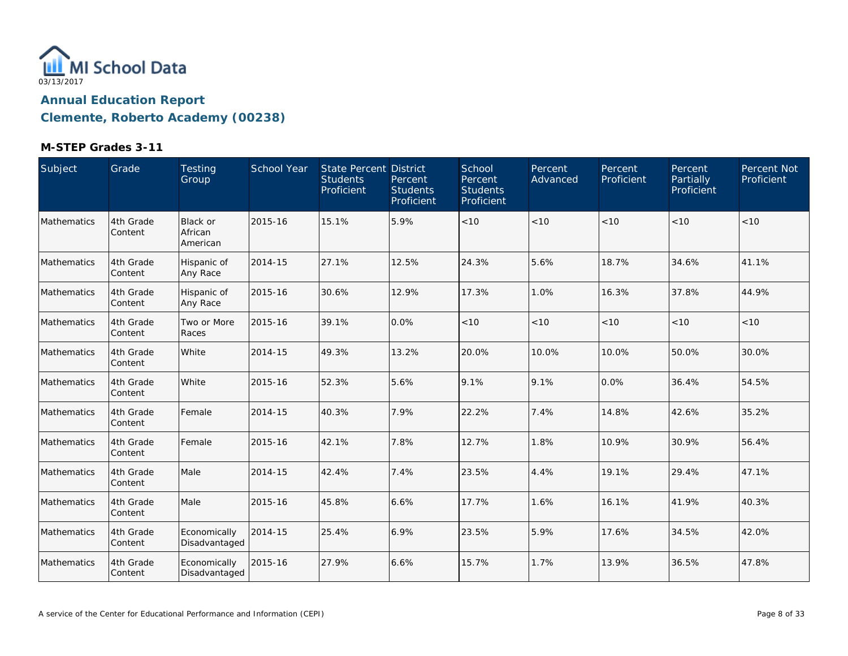

| Subject            | Grade                | Testing<br>Group                | <b>School Year</b> | State Percent District<br><b>Students</b><br>Proficient | Percent<br><b>Students</b><br>Proficient | School<br>Percent<br><b>Students</b><br><b>Proficient</b> | Percent<br>Advanced | Percent<br>Proficient | Percent<br>Partially<br>Proficient | Percent Not<br>Proficient |
|--------------------|----------------------|---------------------------------|--------------------|---------------------------------------------------------|------------------------------------------|-----------------------------------------------------------|---------------------|-----------------------|------------------------------------|---------------------------|
| Mathematics        | 4th Grade<br>Content | Black or<br>African<br>American | 2015-16            | 15.1%                                                   | 5.9%                                     | $<10$                                                     | < 10                | < 10                  | < 10                               | < 10                      |
| <b>Mathematics</b> | 4th Grade<br>Content | Hispanic of<br>Any Race         | 2014-15            | 27.1%                                                   | 12.5%                                    | 24.3%                                                     | 5.6%                | 18.7%                 | 34.6%                              | 41.1%                     |
| Mathematics        | 4th Grade<br>Content | Hispanic of<br>Any Race         | 2015-16            | 30.6%                                                   | 12.9%                                    | 17.3%                                                     | 1.0%                | 16.3%                 | 37.8%                              | 44.9%                     |
| Mathematics        | 4th Grade<br>Content | Two or More<br>Races            | 2015-16            | 39.1%                                                   | 0.0%                                     | < 10                                                      | < 10                | < 10                  | < 10                               | < 10                      |
| <b>Mathematics</b> | 4th Grade<br>Content | White                           | 2014-15            | 49.3%                                                   | 13.2%                                    | 20.0%                                                     | 10.0%               | 10.0%                 | 50.0%                              | 30.0%                     |
| Mathematics        | 4th Grade<br>Content | White                           | 2015-16            | 52.3%                                                   | 5.6%                                     | 9.1%                                                      | 9.1%                | 0.0%                  | 36.4%                              | 54.5%                     |
| Mathematics        | 4th Grade<br>Content | Female                          | 2014-15            | 40.3%                                                   | 7.9%                                     | 22.2%                                                     | 7.4%                | 14.8%                 | 42.6%                              | 35.2%                     |
| Mathematics        | 4th Grade<br>Content | Female                          | 2015-16            | 42.1%                                                   | 7.8%                                     | 12.7%                                                     | 1.8%                | 10.9%                 | 30.9%                              | 56.4%                     |
| Mathematics        | 4th Grade<br>Content | Male                            | 2014-15            | 42.4%                                                   | 7.4%                                     | 23.5%                                                     | 4.4%                | 19.1%                 | 29.4%                              | 47.1%                     |
| Mathematics        | 4th Grade<br>Content | Male                            | 2015-16            | 45.8%                                                   | 6.6%                                     | 17.7%                                                     | 1.6%                | 16.1%                 | 41.9%                              | 40.3%                     |
| Mathematics        | 4th Grade<br>Content | Economically<br>Disadvantaged   | 2014-15            | 25.4%                                                   | 6.9%                                     | 23.5%                                                     | 5.9%                | 17.6%                 | 34.5%                              | 42.0%                     |
| Mathematics        | 4th Grade<br>Content | Economically<br>Disadvantaged   | 2015-16            | 27.9%                                                   | 6.6%                                     | 15.7%                                                     | 1.7%                | 13.9%                 | 36.5%                              | 47.8%                     |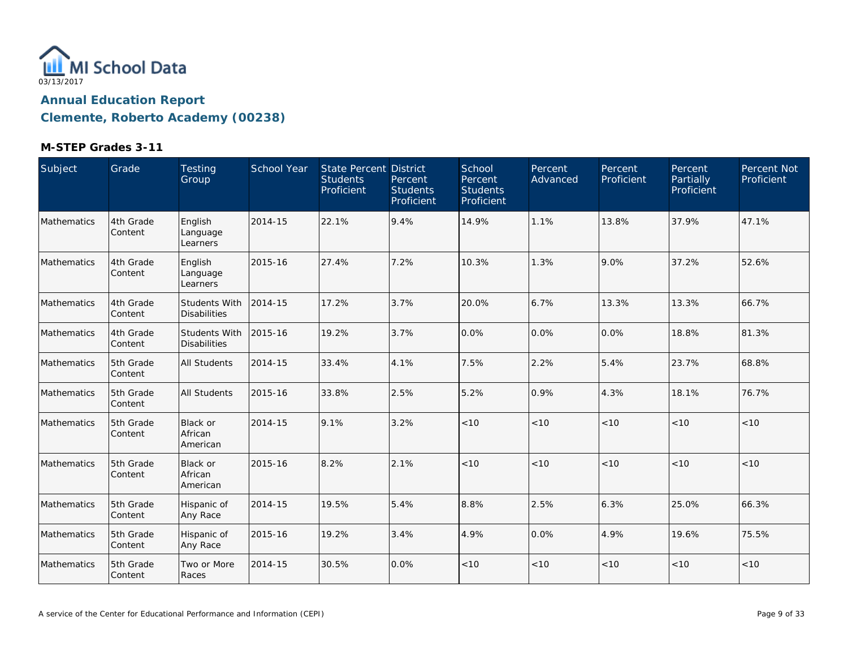

| Subject     | Grade                | Testing<br>Group                       | School Year | State Percent District<br><b>Students</b><br>Proficient | Percent<br><b>Students</b><br>Proficient | School<br>Percent<br><b>Students</b><br>Proficient | Percent<br>Advanced | Percent<br>Proficient | Percent<br><b>Partially</b><br>Proficient | <b>Percent Not</b><br>Proficient |
|-------------|----------------------|----------------------------------------|-------------|---------------------------------------------------------|------------------------------------------|----------------------------------------------------|---------------------|-----------------------|-------------------------------------------|----------------------------------|
| Mathematics | 4th Grade<br>Content | English<br>Language<br>Learners        | 2014-15     | 22.1%                                                   | 9.4%                                     | 14.9%                                              | 1.1%                | 13.8%                 | 37.9%                                     | 47.1%                            |
| Mathematics | 4th Grade<br>Content | English<br>Language<br>Learners        | 2015-16     | 27.4%                                                   | 7.2%                                     | 10.3%                                              | 1.3%                | 9.0%                  | 37.2%                                     | 52.6%                            |
| Mathematics | 4th Grade<br>Content | Students With<br><b>Disabilities</b>   | 2014-15     | 17.2%                                                   | 3.7%                                     | 20.0%                                              | 6.7%                | 13.3%                 | 13.3%                                     | 66.7%                            |
| Mathematics | 4th Grade<br>Content | Students With<br><b>Disabilities</b>   | 2015-16     | 19.2%                                                   | 3.7%                                     | 0.0%                                               | 0.0%                | 0.0%                  | 18.8%                                     | 81.3%                            |
| Mathematics | 5th Grade<br>Content | <b>All Students</b>                    | 2014-15     | 33.4%                                                   | 4.1%                                     | 7.5%                                               | 2.2%                | 5.4%                  | 23.7%                                     | 68.8%                            |
| Mathematics | 5th Grade<br>Content | <b>All Students</b>                    | 2015-16     | 33.8%                                                   | 2.5%                                     | 5.2%                                               | 0.9%                | 4.3%                  | 18.1%                                     | 76.7%                            |
| Mathematics | 5th Grade<br>Content | <b>Black or</b><br>African<br>American | 2014-15     | 9.1%                                                    | 3.2%                                     | < 10                                               | < 10                | < 10                  | < 10                                      | < 10                             |
| Mathematics | 5th Grade<br>Content | <b>Black or</b><br>African<br>American | 2015-16     | 8.2%                                                    | 2.1%                                     | < 10                                               | < 10                | < 10                  | < 10                                      | < 10                             |
| Mathematics | 5th Grade<br>Content | Hispanic of<br>Any Race                | 2014-15     | 19.5%                                                   | 5.4%                                     | 8.8%                                               | 2.5%                | 6.3%                  | 25.0%                                     | 66.3%                            |
| Mathematics | 5th Grade<br>Content | Hispanic of<br>Any Race                | 2015-16     | 19.2%                                                   | 3.4%                                     | 4.9%                                               | 0.0%                | 4.9%                  | 19.6%                                     | 75.5%                            |
| Mathematics | 5th Grade<br>Content | Two or More<br>Races                   | 2014-15     | 30.5%                                                   | 0.0%                                     | < 10                                               | < 10                | < 10                  | < 10                                      | < 10                             |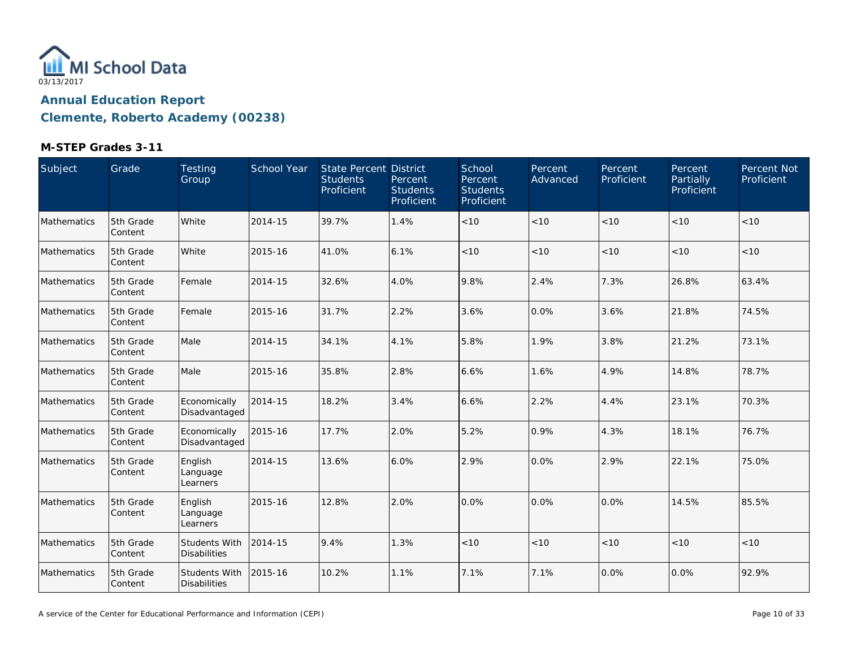

| Subject     | Grade                | Testing<br>Group                     | School Year | <b>State Percent District</b><br><b>Students</b><br>Proficient | Percent<br><b>Students</b><br>Proficient | School<br>Percent<br><b>Students</b><br>Proficient | Percent<br>Advanced | Percent<br>Proficient | Percent<br>Partially<br>Proficient | Percent Not<br>Proficient |
|-------------|----------------------|--------------------------------------|-------------|----------------------------------------------------------------|------------------------------------------|----------------------------------------------------|---------------------|-----------------------|------------------------------------|---------------------------|
| Mathematics | 5th Grade<br>Content | White                                | 2014-15     | 39.7%                                                          | 1.4%                                     | < 10                                               | < 10                | < 10                  | < 10                               | < 10                      |
| Mathematics | 5th Grade<br>Content | White                                | 2015-16     | 41.0%                                                          | 6.1%                                     | $<10$                                              | < 10                | < 10                  | < 10                               | < 10                      |
| Mathematics | 5th Grade<br>Content | Female                               | 2014-15     | 32.6%                                                          | 4.0%                                     | 9.8%                                               | 2.4%                | 7.3%                  | 26.8%                              | 63.4%                     |
| Mathematics | 5th Grade<br>Content | Female                               | 2015-16     | 31.7%                                                          | 2.2%                                     | 3.6%                                               | 0.0%                | 3.6%                  | 21.8%                              | 74.5%                     |
| Mathematics | 5th Grade<br>Content | Male                                 | 2014-15     | 34.1%                                                          | 4.1%                                     | 5.8%                                               | 1.9%                | 3.8%                  | 21.2%                              | 73.1%                     |
| Mathematics | 5th Grade<br>Content | Male                                 | 2015-16     | 35.8%                                                          | 2.8%                                     | 6.6%                                               | 1.6%                | 4.9%                  | 14.8%                              | 78.7%                     |
| Mathematics | 5th Grade<br>Content | Economically<br>Disadvantaged        | 2014-15     | 18.2%                                                          | 3.4%                                     | 6.6%                                               | 2.2%                | 4.4%                  | 23.1%                              | 70.3%                     |
| Mathematics | 5th Grade<br>Content | Economically<br>Disadvantaged        | 2015-16     | 17.7%                                                          | 2.0%                                     | 5.2%                                               | 0.9%                | 4.3%                  | 18.1%                              | 76.7%                     |
| Mathematics | 5th Grade<br>Content | English<br>Language<br>Learners      | 2014-15     | 13.6%                                                          | 6.0%                                     | 2.9%                                               | 0.0%                | 2.9%                  | 22.1%                              | 75.0%                     |
| Mathematics | 5th Grade<br>Content | English<br>Language<br>Learners      | 2015-16     | 12.8%                                                          | 2.0%                                     | 0.0%                                               | 0.0%                | 0.0%                  | 14.5%                              | 85.5%                     |
| Mathematics | 5th Grade<br>Content | Students With<br><b>Disabilities</b> | 2014-15     | 9.4%                                                           | 1.3%                                     | < 10                                               | < 10                | < 10                  | < 10                               | < 10                      |
| Mathematics | 5th Grade<br>Content | Students With<br><b>Disabilities</b> | 2015-16     | 10.2%                                                          | 1.1%                                     | 7.1%                                               | 7.1%                | 0.0%                  | 0.0%                               | 92.9%                     |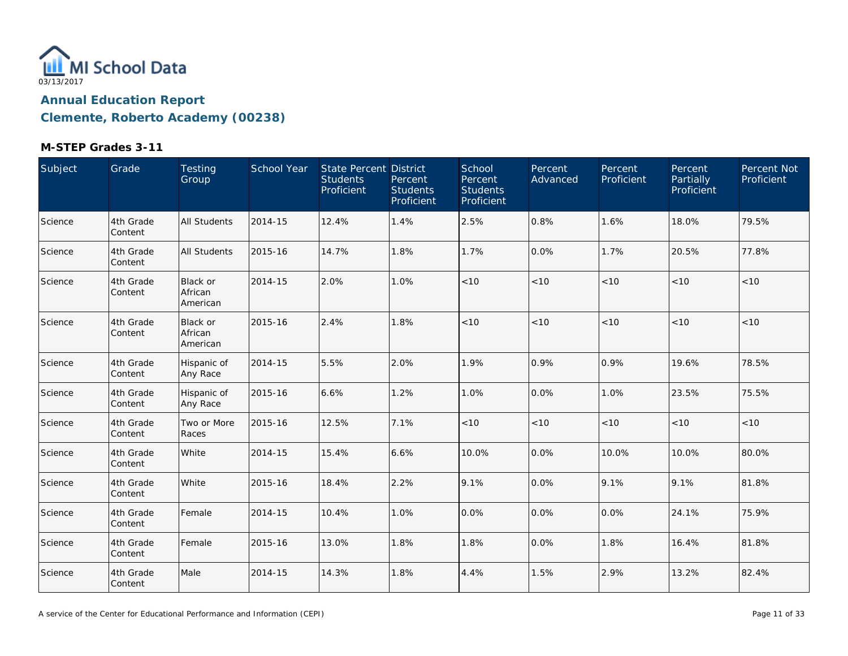

| Subject | Grade                | Testing<br>Group                       | School Year | State Percent District<br><b>Students</b><br>Proficient | Percent<br><b>Students</b><br>Proficient | School<br>Percent<br><b>Students</b><br>Proficient | Percent<br>Advanced | Percent<br>Proficient | Percent<br><b>Partially</b><br>Proficient | Percent Not<br>Proficient |
|---------|----------------------|----------------------------------------|-------------|---------------------------------------------------------|------------------------------------------|----------------------------------------------------|---------------------|-----------------------|-------------------------------------------|---------------------------|
| Science | 4th Grade<br>Content | <b>All Students</b>                    | 2014-15     | 12.4%                                                   | 1.4%                                     | 2.5%                                               | 0.8%                | 1.6%                  | 18.0%                                     | 79.5%                     |
| Science | 4th Grade<br>Content | <b>All Students</b>                    | 2015-16     | 14.7%                                                   | 1.8%                                     | 1.7%                                               | 0.0%                | 1.7%                  | 20.5%                                     | 77.8%                     |
| Science | 4th Grade<br>Content | <b>Black or</b><br>African<br>American | 2014-15     | 2.0%                                                    | 1.0%                                     | $<10$                                              | < 10                | $<10$                 | < 10                                      | <10                       |
| Science | 4th Grade<br>Content | Black or<br>African<br>American        | 2015-16     | 2.4%                                                    | 1.8%                                     | $<10$                                              | < 10                | $<10$                 | < 10                                      | < 10                      |
| Science | 4th Grade<br>Content | Hispanic of<br>Any Race                | 2014-15     | 5.5%                                                    | 2.0%                                     | 1.9%                                               | 0.9%                | 0.9%                  | 19.6%                                     | 78.5%                     |
| Science | 4th Grade<br>Content | Hispanic of<br>Any Race                | 2015-16     | 6.6%                                                    | 1.2%                                     | 1.0%                                               | 0.0%                | 1.0%                  | 23.5%                                     | 75.5%                     |
| Science | 4th Grade<br>Content | Two or More<br>Races                   | 2015-16     | 12.5%                                                   | 7.1%                                     | $<10$                                              | $<10$               | < 10                  | < 10                                      | < 10                      |
| Science | 4th Grade<br>Content | White                                  | 2014-15     | 15.4%                                                   | 6.6%                                     | 10.0%                                              | 0.0%                | 10.0%                 | 10.0%                                     | 80.0%                     |
| Science | 4th Grade<br>Content | White                                  | 2015-16     | 18.4%                                                   | 2.2%                                     | 9.1%                                               | 0.0%                | 9.1%                  | 9.1%                                      | 81.8%                     |
| Science | 4th Grade<br>Content | Female                                 | 2014-15     | 10.4%                                                   | 1.0%                                     | 0.0%                                               | 0.0%                | 0.0%                  | 24.1%                                     | 75.9%                     |
| Science | 4th Grade<br>Content | Female                                 | 2015-16     | 13.0%                                                   | 1.8%                                     | 1.8%                                               | 0.0%                | 1.8%                  | 16.4%                                     | 81.8%                     |
| Science | 4th Grade<br>Content | Male                                   | 2014-15     | 14.3%                                                   | 1.8%                                     | 4.4%                                               | 1.5%                | 2.9%                  | 13.2%                                     | 82.4%                     |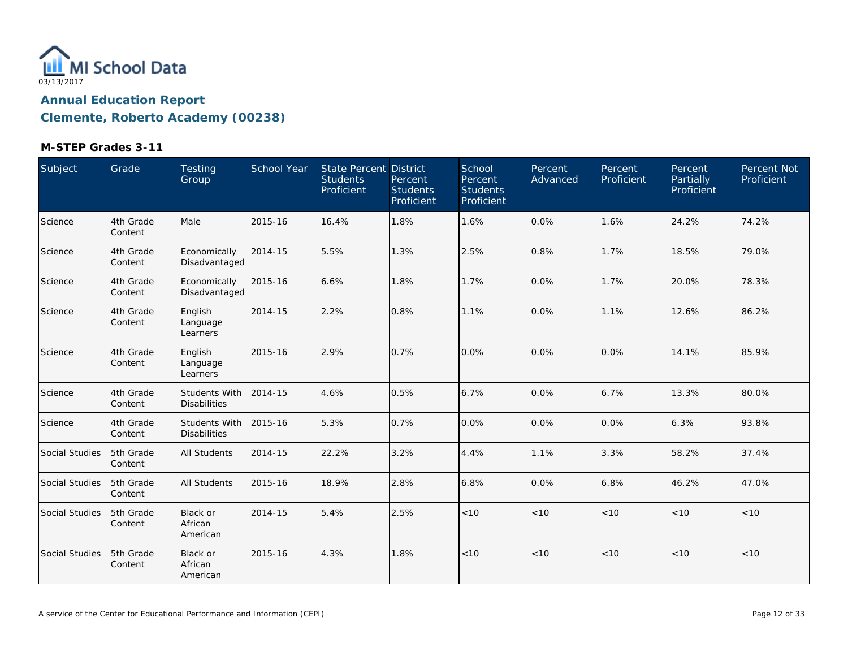

| Subject        | Grade                 | Testing<br>Group                            | <b>School Year</b> | <b>State Percent District</b><br><b>Students</b><br>Proficient | Percent<br><b>Students</b><br>Proficient | School<br>Percent<br><b>Students</b><br>Proficient | Percent<br>Advanced | Percent<br>Proficient | <b>Percent</b><br>Partially<br>Proficient | Percent Not<br>Proficient |
|----------------|-----------------------|---------------------------------------------|--------------------|----------------------------------------------------------------|------------------------------------------|----------------------------------------------------|---------------------|-----------------------|-------------------------------------------|---------------------------|
| Science        | 4th Grade<br>Content  | Male                                        | 2015-16            | 16.4%                                                          | 1.8%                                     | 1.6%                                               | 0.0%                | 1.6%                  | 24.2%                                     | 74.2%                     |
| Science        | 4th Grade<br>Content  | Economically<br>Disadvantaged               | 2014-15            | 5.5%                                                           | 1.3%                                     | 2.5%                                               | 0.8%                | 1.7%                  | 18.5%                                     | 79.0%                     |
| Science        | 4th Grade<br>Content  | Economically<br>Disadvantaged               | 2015-16            | 6.6%                                                           | 1.8%                                     | 1.7%                                               | 0.0%                | 1.7%                  | 20.0%                                     | 78.3%                     |
| Science        | 4th Grade<br>Content  | English<br>Language<br>Learners             | 2014-15            | 2.2%                                                           | 0.8%                                     | 1.1%                                               | 0.0%                | 1.1%                  | 12.6%                                     | 86.2%                     |
| Science        | 4th Grade<br>Content  | English<br>Language<br>Learners             | 2015-16            | 2.9%                                                           | 0.7%                                     | 0.0%                                               | 0.0%                | 0.0%                  | 14.1%                                     | 85.9%                     |
| Science        | 4th Grade<br>Content  | Students With<br><b>Disabilities</b>        | 2014-15            | 4.6%                                                           | 0.5%                                     | 6.7%                                               | 0.0%                | 6.7%                  | 13.3%                                     | 80.0%                     |
| Science        | 4th Grade<br>lContent | <b>Students With</b><br><b>Disabilities</b> | 2015-16            | 5.3%                                                           | 0.7%                                     | 0.0%                                               | 0.0%                | 0.0%                  | 6.3%                                      | 93.8%                     |
| Social Studies | 5th Grade<br>Content  | <b>All Students</b>                         | 2014-15            | 22.2%                                                          | 3.2%                                     | 4.4%                                               | 1.1%                | 3.3%                  | 58.2%                                     | 37.4%                     |
| Social Studies | 5th Grade<br>Content  | <b>All Students</b>                         | 2015-16            | 18.9%                                                          | 2.8%                                     | 6.8%                                               | 0.0%                | 6.8%                  | 46.2%                                     | 47.0%                     |
| Social Studies | 5th Grade<br>Content  | <b>Black or</b><br>African<br>American      | 2014-15            | 5.4%                                                           | 2.5%                                     | < 10                                               | < 10                | < 10                  | < 10                                      | < 10                      |
| Social Studies | 5th Grade<br>Content  | <b>Black or</b><br>African<br>American      | 2015-16            | 4.3%                                                           | 1.8%                                     | < 10                                               | < 10                | < 10                  | < 10                                      | < 10                      |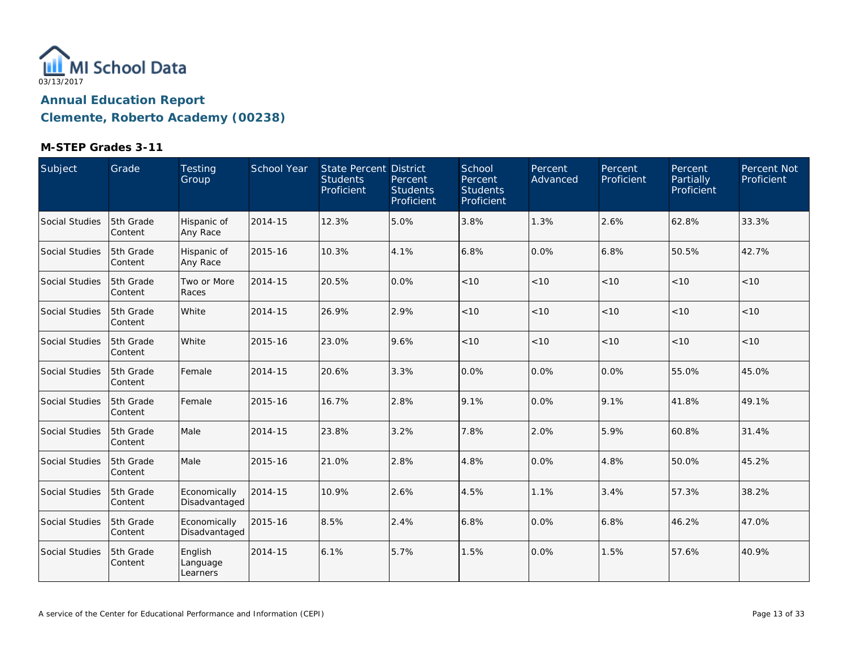

| Subject        | Grade                 | Testing<br>Group                | <b>School Year</b> | State Percent District<br><b>Students</b><br>Proficient | Percent<br><b>Students</b><br>Proficient | School<br>Percent<br><b>Students</b><br>Proficient | Percent<br>Advanced | Percent<br>Proficient | Percent<br>Partially<br>Proficient | Percent Not<br>Proficient |
|----------------|-----------------------|---------------------------------|--------------------|---------------------------------------------------------|------------------------------------------|----------------------------------------------------|---------------------|-----------------------|------------------------------------|---------------------------|
| Social Studies | 5th Grade<br>Content  | Hispanic of<br>Any Race         | 2014-15            | 12.3%                                                   | 5.0%                                     | 3.8%                                               | 1.3%                | 2.6%                  | 62.8%                              | 33.3%                     |
| Social Studies | 5th Grade<br>Content  | Hispanic of<br>Any Race         | 2015-16            | 10.3%                                                   | 4.1%                                     | 6.8%                                               | 0.0%                | 6.8%                  | 50.5%                              | 42.7%                     |
| Social Studies | 5th Grade<br>Content  | Two or More<br>Races            | 2014-15            | 20.5%                                                   | 0.0%                                     | < 10                                               | < 10                | < 10                  | < 10                               | < 10                      |
| Social Studies | 5th Grade<br>Content  | White                           | 2014-15            | 26.9%                                                   | 2.9%                                     | < 10                                               | < 10                | < 10                  | < 10                               | < 10                      |
| Social Studies | 5th Grade<br>Content  | White                           | 2015-16            | 23.0%                                                   | 9.6%                                     | < 10                                               | < 10                | < 10                  | < 10                               | < 10                      |
| Social Studies | 5th Grade<br>Content  | Female                          | 2014-15            | 20.6%                                                   | 3.3%                                     | 0.0%                                               | 0.0%                | 0.0%                  | 55.0%                              | 45.0%                     |
| Social Studies | 5th Grade<br>Content  | Female                          | 2015-16            | 16.7%                                                   | 2.8%                                     | 9.1%                                               | 0.0%                | 9.1%                  | 41.8%                              | 49.1%                     |
| Social Studies | 5th Grade<br>Content  | Male                            | 2014-15            | 23.8%                                                   | 3.2%                                     | 7.8%                                               | 2.0%                | 5.9%                  | 60.8%                              | 31.4%                     |
| Social Studies | 5th Grade<br> Content | Male                            | 2015-16            | 21.0%                                                   | 2.8%                                     | 4.8%                                               | 0.0%                | 4.8%                  | 50.0%                              | 45.2%                     |
| Social Studies | 5th Grade<br>Content  | Economically<br>Disadvantaged   | 2014-15            | 10.9%                                                   | 2.6%                                     | 4.5%                                               | 1.1%                | 3.4%                  | 57.3%                              | 38.2%                     |
| Social Studies | 5th Grade<br>Content  | Economically<br>Disadvantaged   | 2015-16            | 8.5%                                                    | 2.4%                                     | 6.8%                                               | 0.0%                | 6.8%                  | 46.2%                              | 47.0%                     |
| Social Studies | 5th Grade<br>Content  | English<br>Language<br>Learners | 2014-15            | 6.1%                                                    | 5.7%                                     | 1.5%                                               | 0.0%                | 1.5%                  | 57.6%                              | 40.9%                     |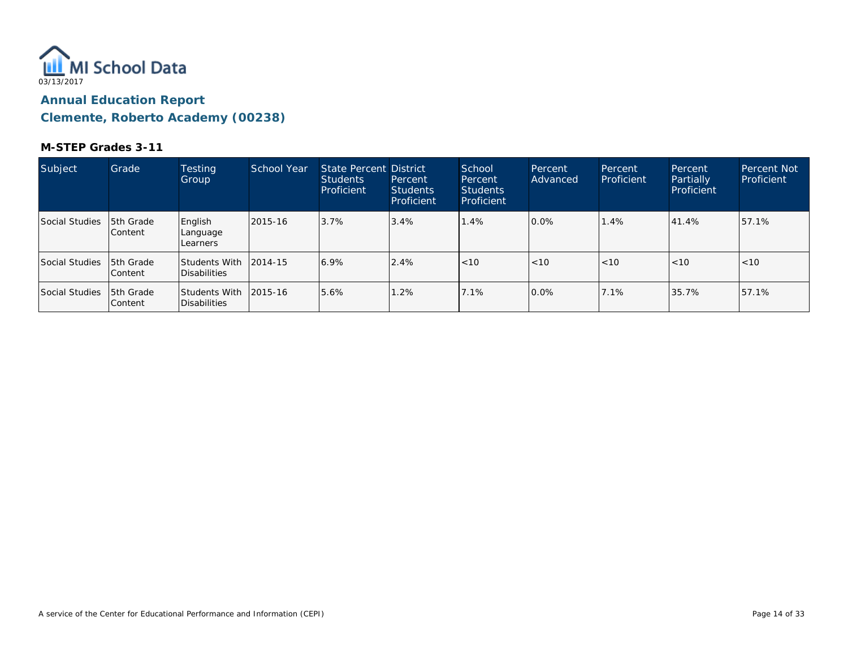

| Subject        | Grade                        | <b>Testing</b><br>Group                       | School Year | State Percent District<br><b>Students</b><br>Proficient | Percent<br><b>Students</b><br>Proficient | School<br>Percent<br><b>Students</b><br>Proficient | Percent<br>Advanced | Percent<br>Proficient | Percent<br>Partially<br>Proficient | <b>Percent Not</b><br>Proficient |
|----------------|------------------------------|-----------------------------------------------|-------------|---------------------------------------------------------|------------------------------------------|----------------------------------------------------|---------------------|-----------------------|------------------------------------|----------------------------------|
| Social Studies | <b>5th Grade</b><br> Content | English<br>Language<br>Learners               | 2015-16     | 3.7%                                                    | 3.4%                                     | 1.4%                                               | 0.0%                | 1.4%                  | 41.4%                              | 57.1%                            |
| Social Studies | <b>5th Grade</b><br> Content | Students With 12014-15<br>Disabilities        |             | 6.9%                                                    | 2.4%                                     | < 10                                               | < 10                | < 10                  | < 10                               | < 10                             |
| Social Studies | 15th Grade<br> Content       | Students With 12015-16<br><b>Disabilities</b> |             | 5.6%                                                    | 1.2%                                     | 17.1%                                              | 10.0%               | 7.1%                  | 35.7%                              | 57.1%                            |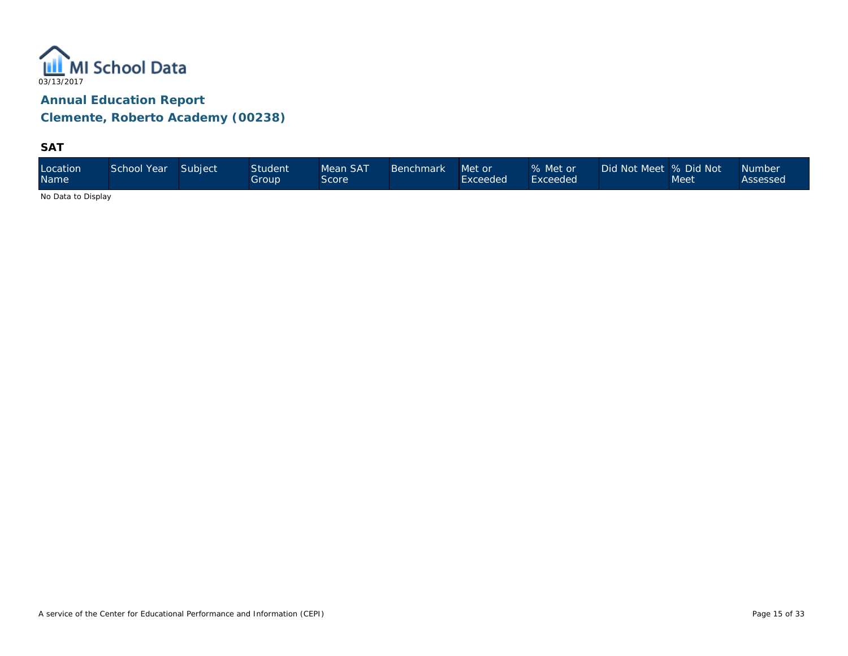

**SAT**

| Location<br><b>Name</b> | School Year | Subject | <b>Student</b><br>Group | Mean SAT<br>Score | <b>Benchmark</b> | Met or<br>Exceeded | % Met or<br>Exceeded <sup>1</sup> | Did Not Meet 9% Did Not \ | Meet | <b>Number</b><br>Assessed |
|-------------------------|-------------|---------|-------------------------|-------------------|------------------|--------------------|-----------------------------------|---------------------------|------|---------------------------|
|-------------------------|-------------|---------|-------------------------|-------------------|------------------|--------------------|-----------------------------------|---------------------------|------|---------------------------|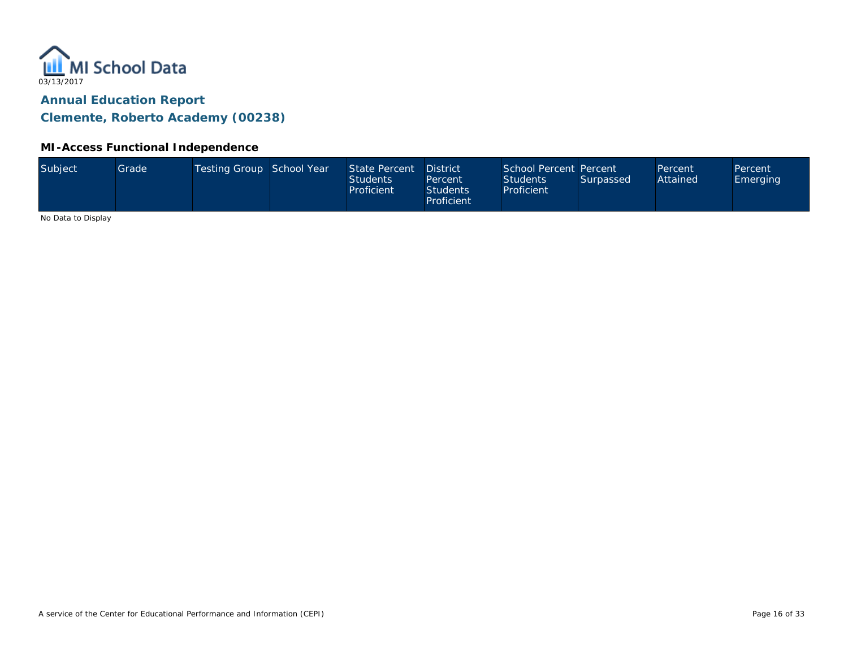

#### **MI-Access Functional Independence**

|  | Subject | Grade <sup>1</sup> | Testing Group School Year |  | State Percent<br>Students<br>Proficient | <b>District</b><br>Percent<br><b>Students</b><br>Proficient | School Percent Percent<br><b>Students</b><br>Proficient | Surpassed | Percent<br>Attained | Percent<br>Emerging |
|--|---------|--------------------|---------------------------|--|-----------------------------------------|-------------------------------------------------------------|---------------------------------------------------------|-----------|---------------------|---------------------|
|--|---------|--------------------|---------------------------|--|-----------------------------------------|-------------------------------------------------------------|---------------------------------------------------------|-----------|---------------------|---------------------|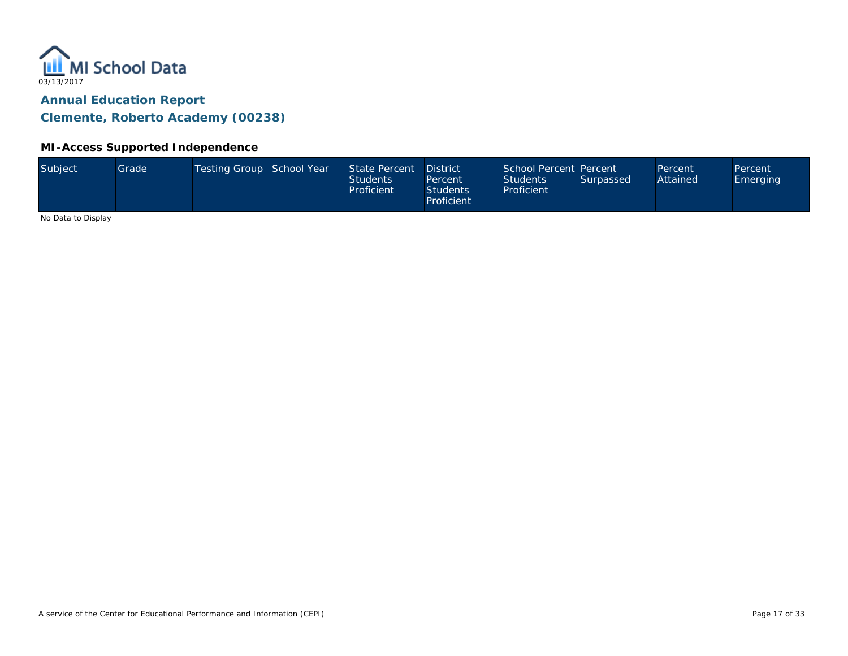

#### **MI-Access Supported Independence**

|  | Subject | Grade <sup>1</sup> | Testing Group School Year |  | State Percent<br>Students<br>Proficient | <b>District</b><br>Percent<br><b>Students</b><br>Proficient | School Percent Percent<br><b>Students</b><br>Proficient | Surpassed | Percent<br>Attained | Percent<br>Emerging |
|--|---------|--------------------|---------------------------|--|-----------------------------------------|-------------------------------------------------------------|---------------------------------------------------------|-----------|---------------------|---------------------|
|--|---------|--------------------|---------------------------|--|-----------------------------------------|-------------------------------------------------------------|---------------------------------------------------------|-----------|---------------------|---------------------|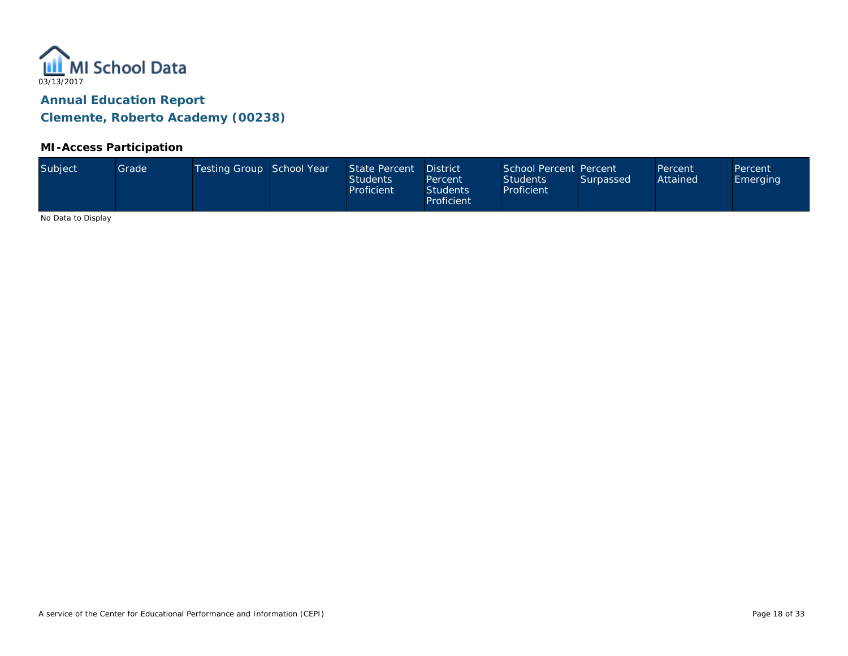

#### **MI-Access Participation**

| Subject<br>Testing Group School Year<br>State Percent<br>Grade <sup>1</sup><br>Attained<br><b>Students</b><br><b>Students</b><br>Surpassed<br><b>Emerging</b><br>Percent<br>Proficient<br>Proficient<br><b>Students</b><br>Proficient | School Percent Percent<br><b>District</b><br>Percent<br>Percent |
|---------------------------------------------------------------------------------------------------------------------------------------------------------------------------------------------------------------------------------------|-----------------------------------------------------------------|
|---------------------------------------------------------------------------------------------------------------------------------------------------------------------------------------------------------------------------------------|-----------------------------------------------------------------|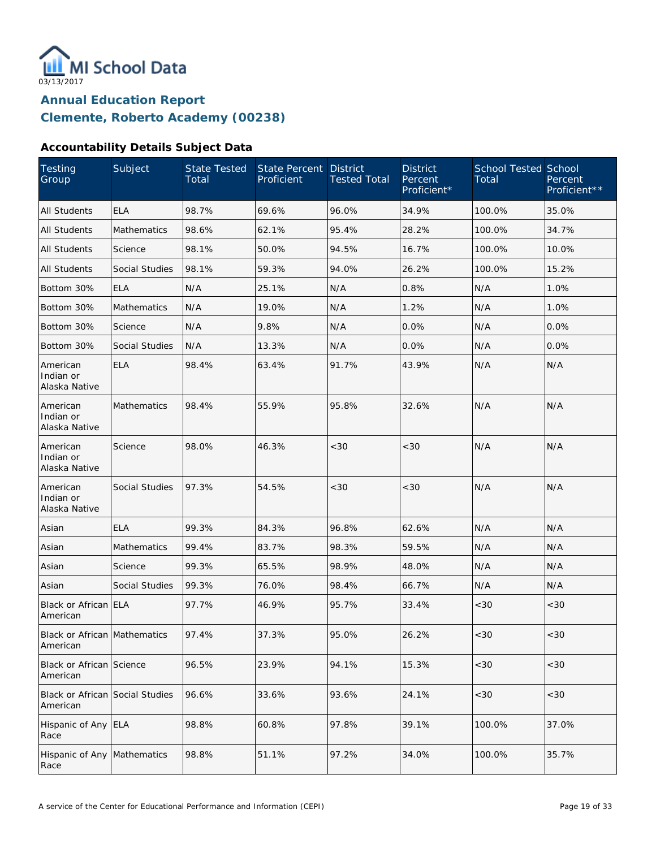

#### **Accountability Details Subject Data**

| Testing<br>Group                            | Subject               | <b>State Tested</b><br>Total | <b>State Percent</b><br>Proficient | <b>District</b><br><b>Tested Total</b> | <b>District</b><br>Percent<br>Proficient* | <b>School Tested School</b><br>Total | Percent<br>Proficient** |
|---------------------------------------------|-----------------------|------------------------------|------------------------------------|----------------------------------------|-------------------------------------------|--------------------------------------|-------------------------|
| <b>All Students</b>                         | <b>ELA</b>            | 98.7%                        | 69.6%                              | 96.0%                                  | 34.9%                                     | 100.0%                               | 35.0%                   |
| <b>All Students</b>                         | <b>Mathematics</b>    | 98.6%                        | 62.1%                              | 95.4%                                  | 28.2%                                     | 100.0%                               | 34.7%                   |
| All Students                                | Science               | 98.1%                        | 50.0%                              | 94.5%                                  | 16.7%                                     | 100.0%                               | 10.0%                   |
| All Students                                | <b>Social Studies</b> | 98.1%                        | 59.3%                              | 94.0%                                  | 26.2%                                     | 100.0%                               | 15.2%                   |
| Bottom 30%                                  | <b>ELA</b>            | N/A                          | 25.1%                              | N/A                                    | 0.8%                                      | N/A                                  | 1.0%                    |
| Bottom 30%                                  | Mathematics           | N/A                          | 19.0%                              | N/A                                    | 1.2%                                      | N/A                                  | 1.0%                    |
| Bottom 30%                                  | Science               | N/A                          | 9.8%                               | N/A                                    | 0.0%                                      | N/A                                  | 0.0%                    |
| Bottom 30%                                  | Social Studies        | N/A                          | 13.3%                              | N/A                                    | 0.0%                                      | N/A                                  | 0.0%                    |
| American<br>Indian or<br>Alaska Native      | <b>ELA</b>            | 98.4%                        | 63.4%                              | 91.7%                                  | 43.9%                                     | N/A                                  | N/A                     |
| American<br>Indian or<br>Alaska Native      | <b>Mathematics</b>    | 98.4%                        | 55.9%                              | 95.8%                                  | 32.6%                                     | N/A                                  | N/A                     |
| American<br>Indian or<br>Alaska Native      | Science               | 98.0%                        | 46.3%                              | <30                                    | <30                                       | N/A                                  | N/A                     |
| American<br>Indian or<br>Alaska Native      | Social Studies        | 97.3%                        | 54.5%                              | <30                                    | < 30                                      | N/A                                  | N/A                     |
| Asian                                       | <b>ELA</b>            | 99.3%                        | 84.3%                              | 96.8%                                  | 62.6%                                     | N/A                                  | N/A                     |
| Asian                                       | <b>Mathematics</b>    | 99.4%                        | 83.7%                              | 98.3%                                  | 59.5%                                     | N/A                                  | N/A                     |
| Asian                                       | Science               | 99.3%                        | 65.5%                              | 98.9%                                  | 48.0%                                     | N/A                                  | N/A                     |
| Asian                                       | Social Studies        | 99.3%                        | 76.0%                              | 98.4%                                  | 66.7%                                     | N/A                                  | N/A                     |
| Black or African ELA<br>American            |                       | 97.7%                        | 46.9%                              | 95.7%                                  | 33.4%                                     | <30                                  | <30                     |
| Black or African Mathematics<br>American    |                       | 97.4%                        | 37.3%                              | 95.0%                                  | 26.2%                                     | <30                                  | <30                     |
| <b>Black or African Science</b><br>American |                       | 96.5%                        | 23.9%                              | 94.1%                                  | 15.3%                                     | <30                                  | <30                     |
| Black or African Social Studies<br>American |                       | 96.6%                        | 33.6%                              | 93.6%                                  | 24.1%                                     | <30                                  | <30                     |
| Hispanic of Any ELA<br>Race                 |                       | 98.8%                        | 60.8%                              | 97.8%                                  | 39.1%                                     | 100.0%                               | 37.0%                   |
| Hispanic of Any<br>Race                     | Mathematics           | 98.8%                        | 51.1%                              | 97.2%                                  | 34.0%                                     | 100.0%                               | 35.7%                   |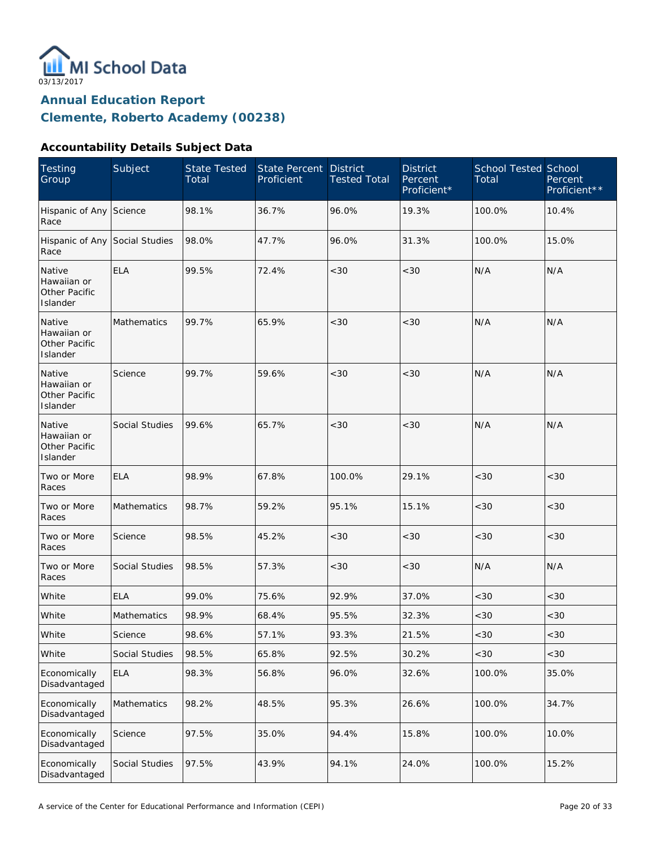

### **Accountability Details Subject Data**

| <b>Testing</b><br>Group                                   | Subject            | <b>State Tested</b><br>Total | <b>State Percent</b><br>Proficient | <b>District</b><br><b>Tested Total</b> | <b>District</b><br>Percent<br>Proficient* | <b>School Tested School</b><br>Total | Percent<br>Proficient** |
|-----------------------------------------------------------|--------------------|------------------------------|------------------------------------|----------------------------------------|-------------------------------------------|--------------------------------------|-------------------------|
| Hispanic of Any Science<br>Race                           |                    | 98.1%                        | 36.7%                              | 96.0%                                  | 19.3%                                     | 100.0%                               | 10.4%                   |
| Hispanic of Any Social Studies<br>Race                    |                    | 98.0%                        | 47.7%                              | 96.0%                                  | 31.3%                                     | 100.0%                               | 15.0%                   |
| Native<br>Hawaiian or<br>Other Pacific<br>Islander        | <b>ELA</b>         | 99.5%                        | 72.4%                              | < 30                                   | <30                                       | N/A                                  | N/A                     |
| Native<br>Hawaiian or<br>Other Pacific<br>Islander        | Mathematics        | 99.7%                        | 65.9%                              | < 30                                   | <30                                       | N/A                                  | N/A                     |
| Native<br>Hawaiian or<br>Other Pacific<br>Islander        | Science            | 99.7%                        | 59.6%                              | < 30                                   | <30                                       | N/A                                  | N/A                     |
| Native<br>Hawaiian or<br><b>Other Pacific</b><br>Islander | Social Studies     | 99.6%                        | 65.7%                              | < 30                                   | <30                                       | N/A                                  | N/A                     |
| Two or More<br>Races                                      | <b>ELA</b>         | 98.9%                        | 67.8%                              | 100.0%                                 | 29.1%                                     | <30                                  | <30                     |
| Two or More<br>Races                                      | Mathematics        | 98.7%                        | 59.2%                              | 95.1%                                  | 15.1%                                     | < 30                                 | <30                     |
| Two or More<br>Races                                      | Science            | 98.5%                        | 45.2%                              | <30                                    | <30                                       | <30                                  | <30                     |
| Two or More<br>Races                                      | Social Studies     | 98.5%                        | 57.3%                              | < 30                                   | $<30$                                     | N/A                                  | N/A                     |
| White                                                     | <b>ELA</b>         | 99.0%                        | 75.6%                              | 92.9%                                  | 37.0%                                     | <30                                  | <30                     |
| White                                                     | <b>Mathematics</b> | 98.9%                        | 68.4%                              | 95.5%                                  | 32.3%                                     | <30                                  | <30                     |
| White                                                     | Science            | 98.6%                        | 57.1%                              | 93.3%                                  | 21.5%                                     | $<\!30$                              | $<30$                   |
| White                                                     | Social Studies     | 98.5%                        | 65.8%                              | 92.5%                                  | 30.2%                                     | <30                                  | <30                     |
| Economically<br>Disadvantaged                             | <b>ELA</b>         | 98.3%                        | 56.8%                              | 96.0%                                  | 32.6%                                     | 100.0%                               | 35.0%                   |
| Economically<br>Disadvantaged                             | Mathematics        | 98.2%                        | 48.5%                              | 95.3%                                  | 26.6%                                     | 100.0%                               | 34.7%                   |
| Economically<br>Disadvantaged                             | Science            | 97.5%                        | 35.0%                              | 94.4%                                  | 15.8%                                     | 100.0%                               | 10.0%                   |
| Economically<br>Disadvantaged                             | Social Studies     | 97.5%                        | 43.9%                              | 94.1%                                  | 24.0%                                     | 100.0%                               | 15.2%                   |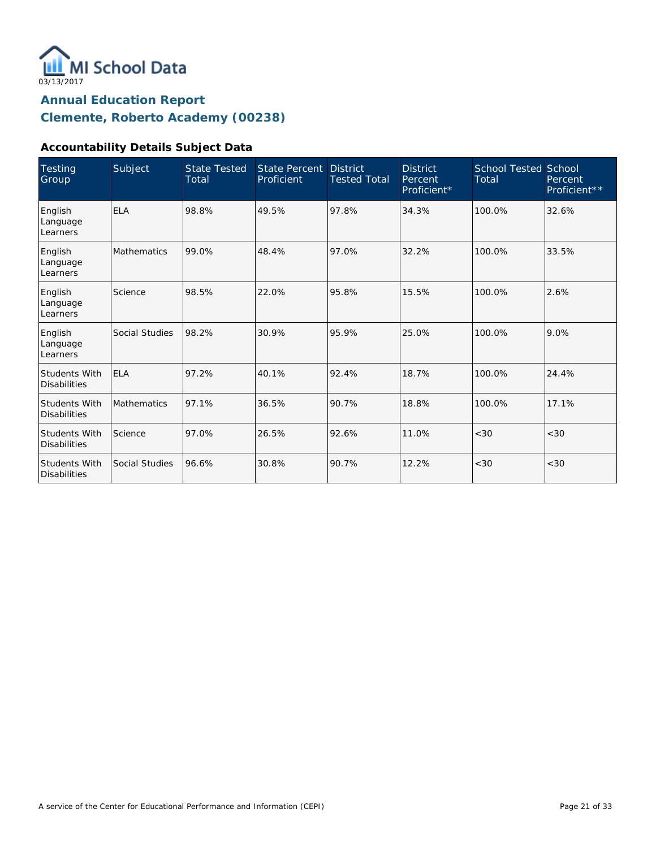

### **Accountability Details Subject Data**

| <b>Testing</b><br>Group                     | Subject            | <b>State Tested</b><br>Total | State Percent<br>Proficient | <b>District</b><br><b>Tested Total</b> | <b>District</b><br>Percent<br>Proficient* | <b>School Tested School</b><br>Total | Percent<br>Proficient** |
|---------------------------------------------|--------------------|------------------------------|-----------------------------|----------------------------------------|-------------------------------------------|--------------------------------------|-------------------------|
| English<br>Language<br>Learners             | <b>ELA</b>         | 98.8%                        | 49.5%                       | 97.8%                                  | 34.3%                                     | 100.0%                               | 32.6%                   |
| English<br>Language<br>Learners             | <b>Mathematics</b> | 99.0%                        | 48.4%                       | 97.0%                                  | 32.2%                                     | 100.0%                               | 33.5%                   |
| English<br>Language<br>Learners             | Science            | 98.5%                        | 22.0%                       | 95.8%                                  | 15.5%                                     | 100.0%                               | 2.6%                    |
| English<br>Language<br>Learners             | Social Studies     | 98.2%                        | 30.9%                       | 95.9%                                  | 25.0%                                     | 100.0%                               | 9.0%                    |
| <b>Students With</b><br><b>Disabilities</b> | <b>ELA</b>         | 97.2%                        | 40.1%                       | 92.4%                                  | 18.7%                                     | 100.0%                               | 24.4%                   |
| <b>Students With</b><br><b>Disabilities</b> | <b>Mathematics</b> | 97.1%                        | 36.5%                       | 90.7%                                  | 18.8%                                     | 100.0%                               | 17.1%                   |
| <b>Students With</b><br><b>Disabilities</b> | Science            | 97.0%                        | 26.5%                       | 92.6%                                  | 11.0%                                     | <30                                  | <30                     |
| <b>Students With</b><br><b>Disabilities</b> | Social Studies     | 96.6%                        | 30.8%                       | 90.7%                                  | 12.2%                                     | < 30                                 | <30                     |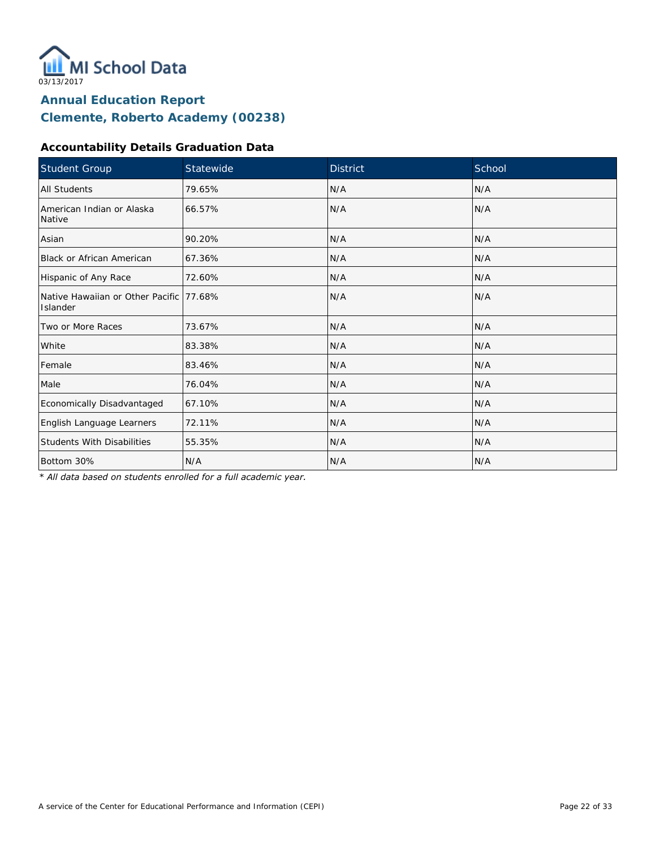

### **Accountability Details Graduation Data**

| Student Group                                        | Statewide | <b>District</b> | School |
|------------------------------------------------------|-----------|-----------------|--------|
| All Students                                         | 79.65%    | N/A             | N/A    |
| American Indian or Alaska<br>Native                  | 66.57%    | N/A             | N/A    |
| Asian                                                | 90.20%    | N/A             | N/A    |
| <b>Black or African American</b>                     | 67.36%    | N/A             | N/A    |
| Hispanic of Any Race                                 | 72.60%    | N/A             | N/A    |
| Native Hawaiian or Other Pacific 177.68%<br>Islander |           | N/A             | N/A    |
| Two or More Races                                    | 73.67%    | N/A             | N/A    |
| White                                                | 83.38%    | N/A             | N/A    |
| Female                                               | 83.46%    | N/A             | N/A    |
| Male                                                 | 76.04%    | N/A             | N/A    |
| Economically Disadvantaged                           | 67.10%    | N/A             | N/A    |
| English Language Learners                            | 72.11%    | N/A             | N/A    |
| <b>Students With Disabilities</b>                    | 55.35%    | N/A             | N/A    |
| Bottom 30%                                           | N/A       | N/A             | N/A    |

*\* All data based on students enrolled for a full academic year.*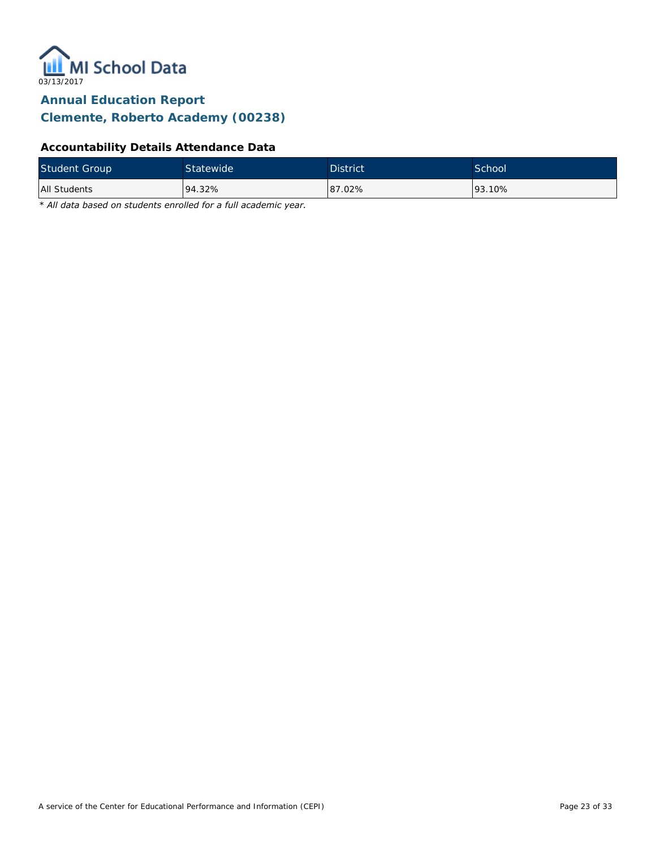

### **Accountability Details Attendance Data**

| <b>Student Group</b> | Statewide | <b>District</b> | School <sup>1</sup> |
|----------------------|-----------|-----------------|---------------------|
| All Students         | 94.32%    | 87.02%          | 93.10%              |

*\* All data based on students enrolled for a full academic year.*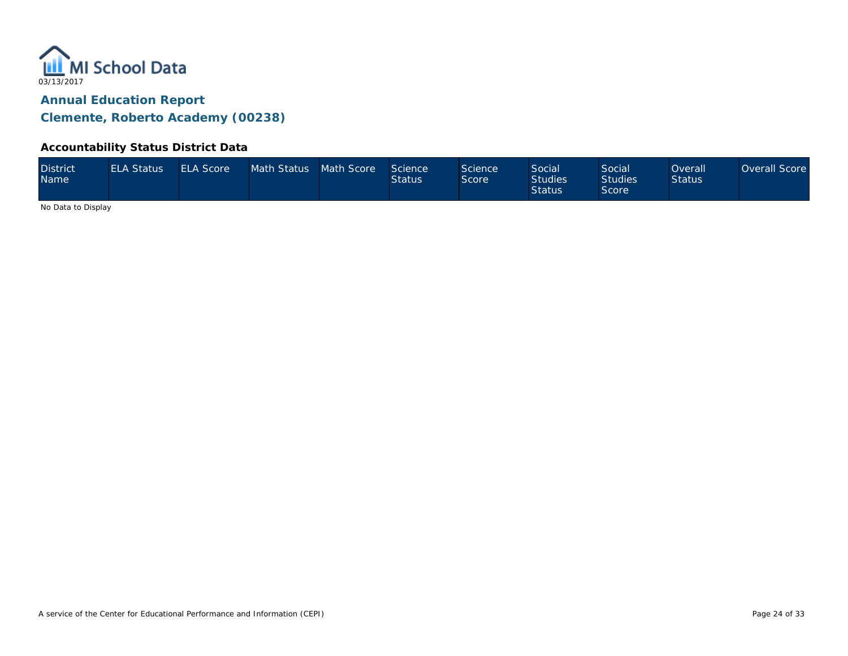

#### **Accountability Status District Data**

| <b>District</b><br>Name | <b>ELA Status</b> | <b>ELA Score</b> | Math Status Math Score |  | Science<br><b>Status</b> | Science<br>Score | <b>Social</b><br><b>Studies</b><br><b>Status</b> | Social<br><b>Studies</b><br>Score | <b>Overall</b><br><b>Status</b> | Overall Score |
|-------------------------|-------------------|------------------|------------------------|--|--------------------------|------------------|--------------------------------------------------|-----------------------------------|---------------------------------|---------------|
|-------------------------|-------------------|------------------|------------------------|--|--------------------------|------------------|--------------------------------------------------|-----------------------------------|---------------------------------|---------------|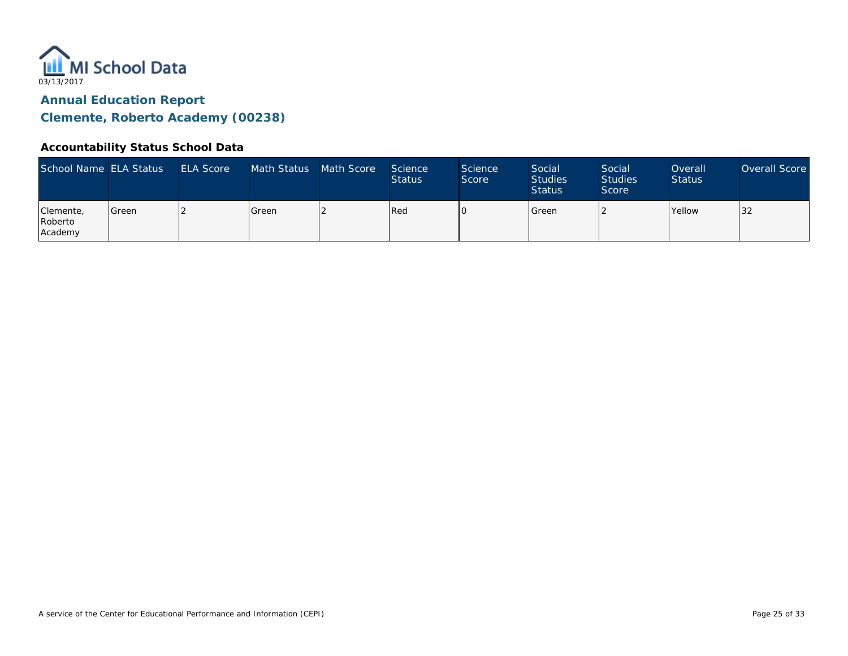

#### **Accountability Status School Data**

| School Name ELA Status          |       | <b>ELA Score</b> | Math Status | Math Score | <b>Science</b><br><b>Status</b> | Science<br>Score | Social<br><b>Studies</b><br><b>Status</b> | Social<br><b>Studies</b><br>Score | Overall<br><b>Status</b> | Overall Score |
|---------------------------------|-------|------------------|-------------|------------|---------------------------------|------------------|-------------------------------------------|-----------------------------------|--------------------------|---------------|
| Clemente,<br>Roberto<br>Academy | Green |                  | Green       |            | Red                             |                  | Green                                     |                                   | <b>Yellow</b>            | 32            |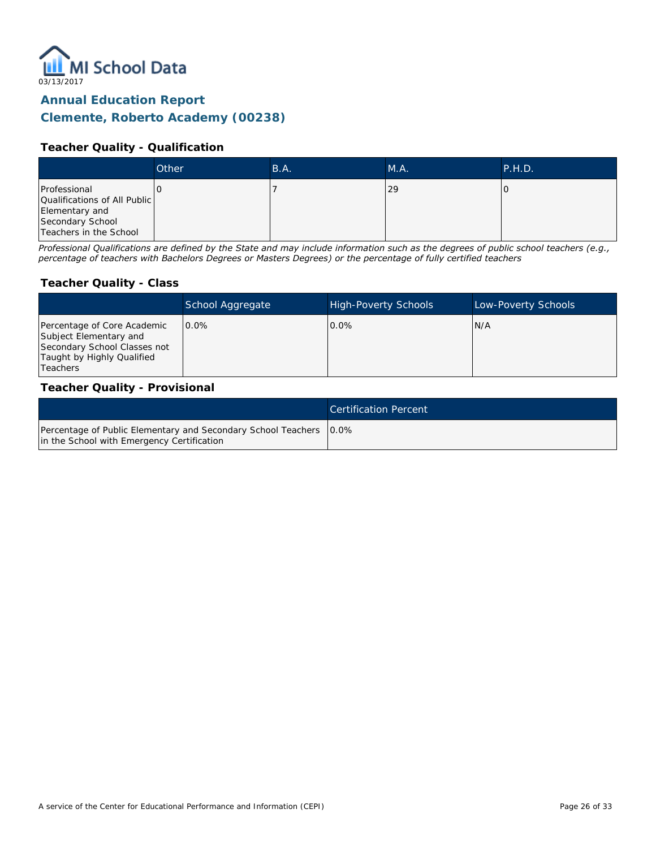

#### **Annual Education Report**

### **Clemente, Roberto Academy (00238)**

#### **Teacher Quality - Qualification**

|                                              | Other | B.A. | M.A. | P.H.D. |
|----------------------------------------------|-------|------|------|--------|
| Professional<br>Qualifications of All Public |       |      | 29   |        |
| Elementary and<br>Secondary School           |       |      |      |        |
| Teachers in the School                       |       |      |      |        |

*Professional Qualifications are defined by the State and may include information such as the degrees of public school teachers (e.g., percentage of teachers with Bachelors Degrees or Masters Degrees) or the percentage of fully certified teachers*

#### **Teacher Quality - Class**

|                                                                                                                                        | School Aggregate | <b>High-Poverty Schools</b> | Low-Poverty Schools |
|----------------------------------------------------------------------------------------------------------------------------------------|------------------|-----------------------------|---------------------|
| Percentage of Core Academic<br>Subject Elementary and<br>Secondary School Classes not<br>Taught by Highly Qualified<br><b>Teachers</b> | $0.0\%$          | $0.0\%$                     | IN/A                |

#### **Teacher Quality - Provisional**

|                                                                                                                    | Certification Percent |
|--------------------------------------------------------------------------------------------------------------------|-----------------------|
| Percentage of Public Elementary and Secondary School Teachers   0.0%<br>in the School with Emergency Certification |                       |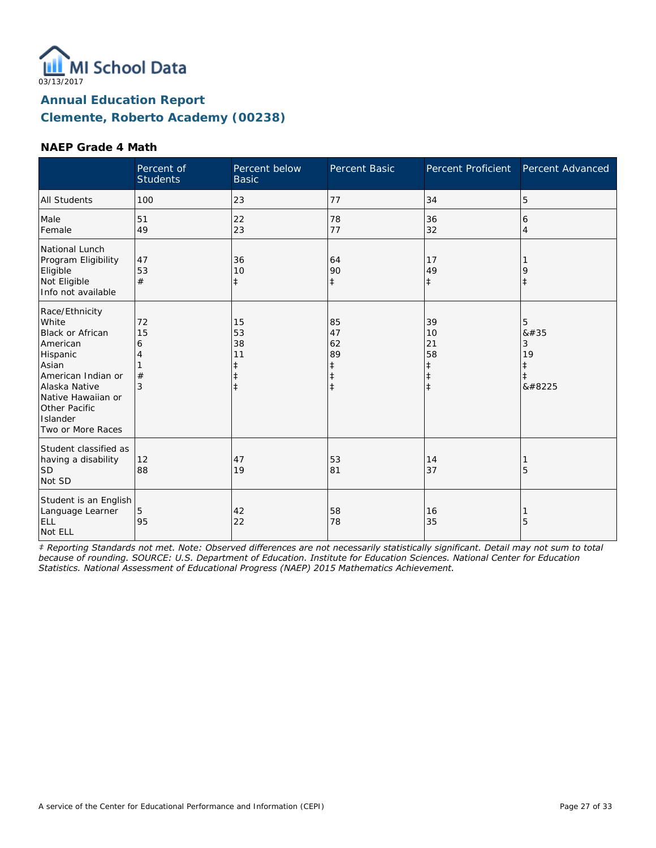

#### **NAEP Grade 4 Math**

|                                                                                                                                                                                                    | Percent of<br><b>Students</b> | Percent below<br><b>Basic</b>                         | Percent Basic                                         | Percent Proficient                                             | Percent Advanced                             |
|----------------------------------------------------------------------------------------------------------------------------------------------------------------------------------------------------|-------------------------------|-------------------------------------------------------|-------------------------------------------------------|----------------------------------------------------------------|----------------------------------------------|
| <b>All Students</b>                                                                                                                                                                                | 100                           | 23                                                    | 77                                                    | 34                                                             | 5                                            |
| Male<br>Female                                                                                                                                                                                     | 51<br>49                      | 22<br>23                                              | 78<br>77                                              | 36<br>32                                                       | 6<br>4                                       |
| National Lunch<br>Program Eligibility<br>Eligible<br>Not Eligible<br>Info not available                                                                                                            | 47<br>53<br>#                 | 36<br>10<br>$\ddagger$                                | 64<br>90<br>$\ddagger$                                | 17<br>49<br>$\ddagger$                                         | 9<br>$\ddagger$                              |
| Race/Ethnicity<br>White<br><b>Black or African</b><br>American<br>Hispanic<br>Asian<br>American Indian or<br>Alaska Native<br>Native Hawaiian or<br>Other Pacific<br>Islander<br>Two or More Races | 72<br>15<br>6<br>4<br>#<br>3  | 15<br>53<br>38<br>11<br>$\ddagger$<br>ŧ<br>$\ddagger$ | 85<br>47<br>62<br>89<br>ŧ<br>$\ddagger$<br>$\ddagger$ | 39<br>10<br>21<br>58<br>$\ddagger$<br>$\ddagger$<br>$\ddagger$ | 5<br>8#35<br>3<br>19<br>‡<br>$\ddagger$<br>‡ |
| Student classified as<br>having a disability<br><b>SD</b><br>Not SD                                                                                                                                | 12<br>88                      | 47<br>19                                              | 53<br>81                                              | 14<br>37                                                       | 5                                            |
| Student is an English<br>Language Learner<br>ELL<br>Not ELL                                                                                                                                        | 5<br>95                       | 42<br>22                                              | 58<br>78                                              | 16<br>35                                                       | 5                                            |

*‡ Reporting Standards not met. Note: Observed differences are not necessarily statistically significant. Detail may not sum to total because of rounding. SOURCE: U.S. Department of Education. Institute for Education Sciences. National Center for Education Statistics. National Assessment of Educational Progress (NAEP) 2015 Mathematics Achievement.*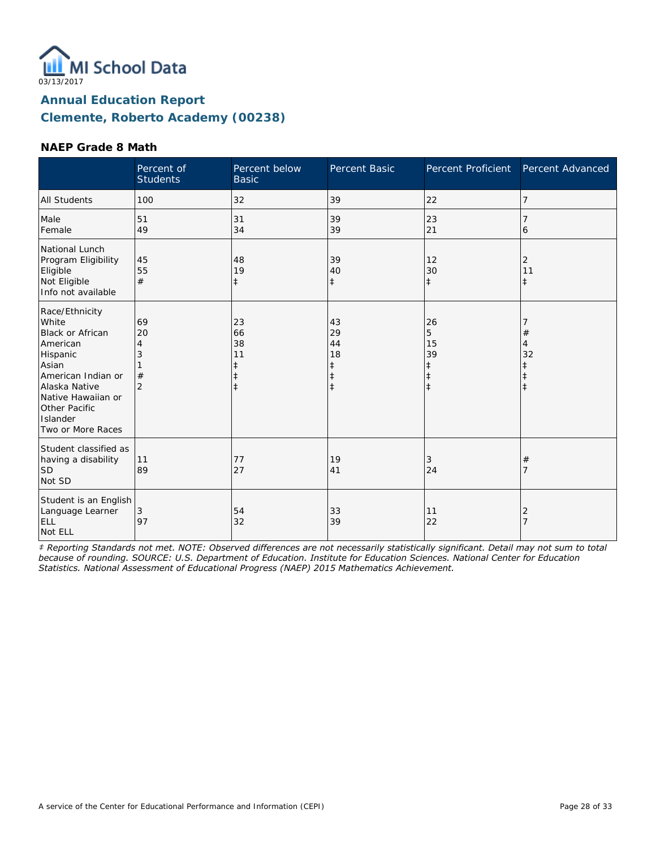

#### **NAEP Grade 8 Math**

|                                                                                                                                                                                             | Percent of<br><b>Students</b>             | Percent below<br><b>Basic</b>                         | Percent Basic                                                  | Percent Proficient                              | Percent Advanced                 |
|---------------------------------------------------------------------------------------------------------------------------------------------------------------------------------------------|-------------------------------------------|-------------------------------------------------------|----------------------------------------------------------------|-------------------------------------------------|----------------------------------|
| <b>All Students</b>                                                                                                                                                                         | 100                                       | 32                                                    | 39                                                             | 22                                              | 7                                |
| Male<br>Female                                                                                                                                                                              | 51<br>49                                  | 31<br>34                                              | 39<br>39                                                       | 23<br>21                                        | 6                                |
| National Lunch<br>Program Eligibility<br>Eligible<br>Not Eligible<br>Info not available                                                                                                     | 45<br>55<br>#                             | 48<br>19<br>$\ddagger$                                | 39<br>40<br>$\ddagger$                                         | 12<br>30<br>$\ddagger$                          | 2<br>11<br>$\ddagger$            |
| Race/Ethnicity<br>White<br>Black or African<br>American<br>Hispanic<br>Asian<br>American Indian or<br>Alaska Native<br>Native Hawaiian or<br>Other Pacific<br>Islander<br>Two or More Races | 69<br>20<br>4<br>3<br>#<br>$\overline{2}$ | 23<br>66<br>38<br>11<br>ŧ<br>$\ddagger$<br>$\ddagger$ | 43<br>29<br>44<br>18<br>$\ddagger$<br>$\ddagger$<br>$\ddagger$ | 26<br>5<br>15<br>39<br>$\ddagger$<br>$\ddagger$ | $^{\#}$<br>4<br>32<br>$\ddagger$ |
| Student classified as<br>having a disability<br><b>SD</b><br>Not SD                                                                                                                         | 11<br>89                                  | 77<br>27                                              | 19<br>41                                                       | 3<br>24                                         | #<br>7                           |
| Student is an English<br>Language Learner<br>ELL<br>Not ELL                                                                                                                                 | 3<br>97                                   | 54<br>32                                              | 33<br>39                                                       | 11<br>22                                        | 2<br>$\overline{7}$              |

*‡ Reporting Standards not met. NOTE: Observed differences are not necessarily statistically significant. Detail may not sum to total because of rounding. SOURCE: U.S. Department of Education. Institute for Education Sciences. National Center for Education Statistics. National Assessment of Educational Progress (NAEP) 2015 Mathematics Achievement.*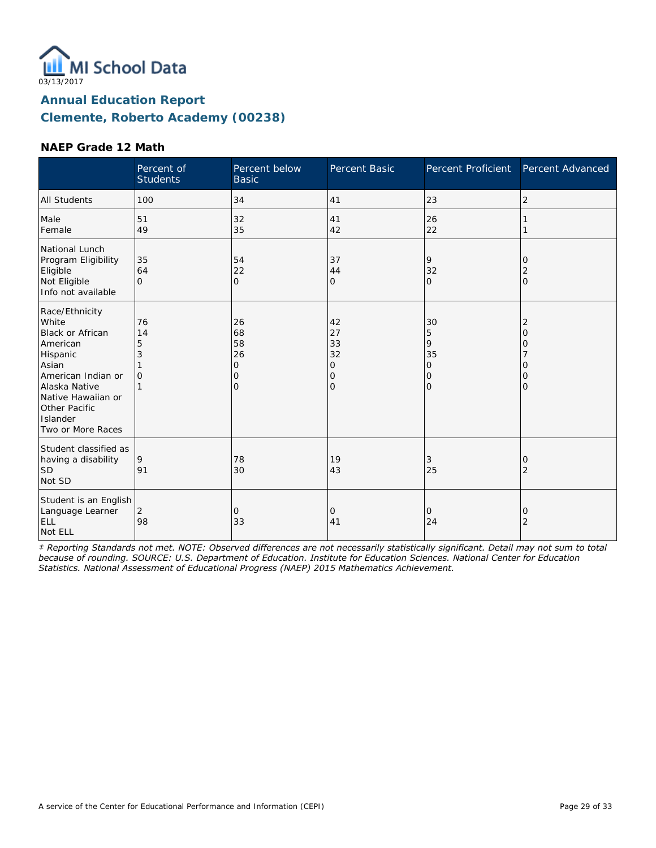

#### **NAEP Grade 12 Math**

|                                                                                                                                                                                             | Percent of<br><b>Students</b> | Percent below<br><b>Basic</b>       | Percent Basic                                                        | Percent Proficient                                   | Percent Advanced             |
|---------------------------------------------------------------------------------------------------------------------------------------------------------------------------------------------|-------------------------------|-------------------------------------|----------------------------------------------------------------------|------------------------------------------------------|------------------------------|
| All Students                                                                                                                                                                                | 100                           | 34                                  | 41                                                                   | 23                                                   | 2                            |
| Male<br>Female                                                                                                                                                                              | 51<br>49                      | 32<br>35                            | 41<br>42                                                             | 26<br>22                                             |                              |
| National Lunch<br>Program Eligibility<br>Eligible<br>Not Eligible<br>Info not available                                                                                                     | 35<br>64<br>$\Omega$          | 54<br>22<br>$\circ$                 | 37<br>44<br>$\mathbf{O}$                                             | 9<br>32<br>$\Omega$                                  | 0<br>2<br>$\Omega$           |
| Race/Ethnicity<br>White<br>Black or African<br>American<br>Hispanic<br>Asian<br>American Indian or<br>Alaska Native<br>Native Hawaiian or<br>Other Pacific<br>Islander<br>Two or More Races | 76<br>14<br>5<br>3<br>0       | 26<br>68<br>58<br>26<br>0<br>0<br>Ω | 42<br>27<br>33<br>32<br>$\mathbf 0$<br>$\mathbf 0$<br>$\overline{O}$ | 30<br>5<br>9<br>35<br>0<br>$\mathcal{O}$<br>$\Omega$ | 2<br>Ω<br>O<br>0<br>$\Omega$ |
| Student classified as<br>having a disability<br><b>SD</b><br>Not SD                                                                                                                         | 9<br>91                       | 78<br>30                            | 19<br>43                                                             | 3<br>25                                              | O<br>$\overline{2}$          |
| Student is an English<br>Language Learner<br>ELL<br>Not ELL                                                                                                                                 | 2<br>98                       | 0<br>33                             | 0<br>41                                                              | 0<br>24                                              | O<br>2                       |

*‡ Reporting Standards not met. NOTE: Observed differences are not necessarily statistically significant. Detail may not sum to total because of rounding. SOURCE: U.S. Department of Education. Institute for Education Sciences. National Center for Education Statistics. National Assessment of Educational Progress (NAEP) 2015 Mathematics Achievement.*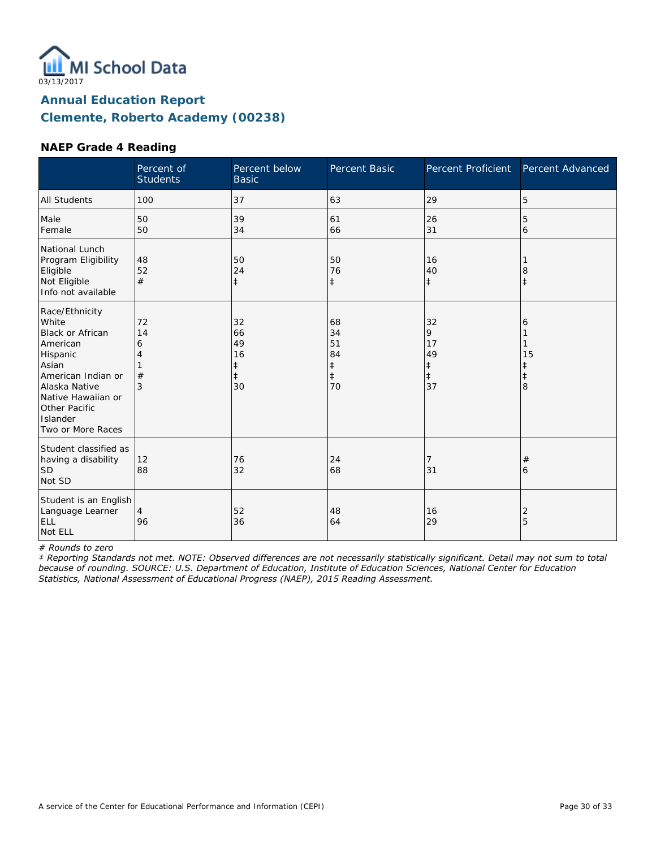

#### **NAEP Grade 4 Reading**

|                                                                                                                                                                                                    | Percent of<br><b>Students</b> | Percent below<br><b>Basic</b>                 | Percent Basic                                          | <b>Percent Proficient</b>                    | Percent Advanced                |
|----------------------------------------------------------------------------------------------------------------------------------------------------------------------------------------------------|-------------------------------|-----------------------------------------------|--------------------------------------------------------|----------------------------------------------|---------------------------------|
| <b>All Students</b>                                                                                                                                                                                | 100                           | 37                                            | 63                                                     | 29                                           | 5                               |
| Male<br>Female                                                                                                                                                                                     | 50<br>50                      | 39<br>34                                      | 61<br>66                                               | 26<br>31                                     | 5<br>6                          |
| National Lunch<br>Program Eligibility<br>Eligible<br>Not Eligible<br>Info not available                                                                                                            | 48<br>52<br>#                 | 50<br>24<br>$\ddagger$                        | 50<br>76<br>$\ddagger$                                 | 16<br>40<br>$\ddagger$                       | 8                               |
| Race/Ethnicity<br>White<br><b>Black or African</b><br>American<br>Hispanic<br>Asian<br>American Indian or<br>Alaska Native<br>Native Hawaiian or<br>Other Pacific<br>Islander<br>Two or More Races | 72<br>14<br>6<br>4<br>#<br>3  | 32<br>66<br>49<br>16<br>ŧ<br>$\ddagger$<br>30 | 68<br>34<br>51<br>84<br>$\ddagger$<br>$\ddagger$<br>70 | 32<br>9<br>17<br>49<br>‡<br>$\ddagger$<br>37 | 6<br>15<br>ŧ<br>$\ddagger$<br>8 |
| Student classified as<br>having a disability<br><b>SD</b><br>Not SD                                                                                                                                | 12<br>88                      | 76<br>32                                      | 24<br>68                                               | 7<br>31                                      | #<br>6                          |
| Student is an English<br>Language Learner<br>ELL<br>Not ELL                                                                                                                                        | 4<br>96                       | 52<br>36                                      | 48<br>64                                               | 16<br>29                                     | 2<br>5                          |

*# Rounds to zero*

*‡ Reporting Standards not met. NOTE: Observed differences are not necessarily statistically significant. Detail may not sum to total because of rounding. SOURCE: U.S. Department of Education, Institute of Education Sciences, National Center for Education Statistics, National Assessment of Educational Progress (NAEP), 2015 Reading Assessment.*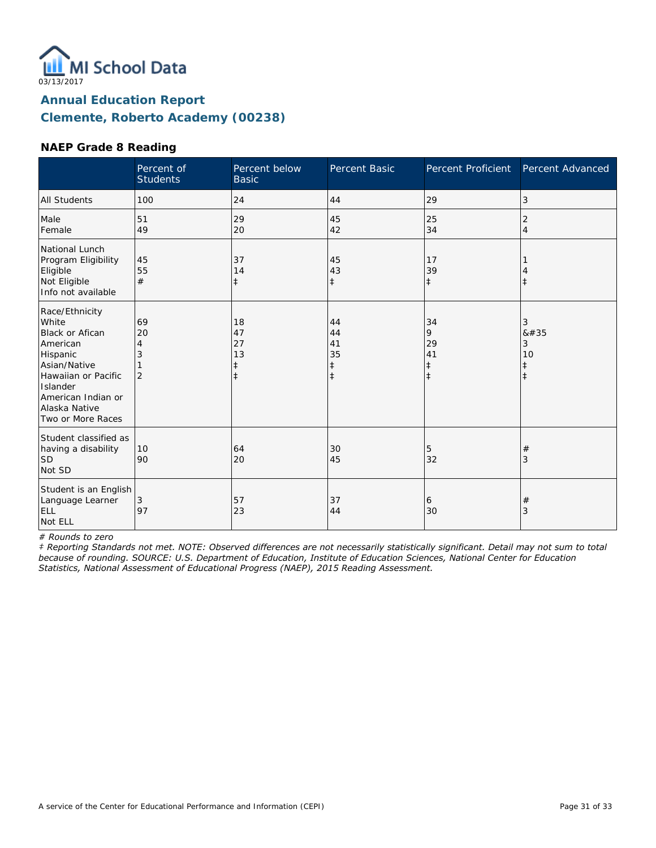

#### **NAEP Grade 8 Reading**

|                                                                                                                                                                                          | Percent of<br><b>Students</b>        | Percent below<br><b>Basic</b>                    | Percent Basic                                    | Percent Proficient                              | Percent Advanced                        |
|------------------------------------------------------------------------------------------------------------------------------------------------------------------------------------------|--------------------------------------|--------------------------------------------------|--------------------------------------------------|-------------------------------------------------|-----------------------------------------|
| <b>All Students</b>                                                                                                                                                                      | 100                                  | 24                                               | 44                                               | 29                                              | 3                                       |
| Male<br>Female                                                                                                                                                                           | 51<br>49                             | 29<br>20                                         | 45<br>42                                         | 25<br>34                                        | 2<br>$\overline{4}$                     |
| National Lunch<br>Program Eligibility<br>Eligible<br>Not Eligible<br>Info not available                                                                                                  | 45<br>55<br>#                        | 37<br>14<br>$\ddagger$                           | 45<br>43<br>$\ddagger$                           | 17<br>39<br>$\ddagger$                          | $\ddagger$                              |
| Race/Ethnicity<br>White<br><b>Black or Afican</b><br>American<br>Hispanic<br>Asian/Native<br>Hawaiian or Pacific<br>Islander<br>American Indian or<br>Alaska Native<br>Two or More Races | 69<br>20<br>4<br>3<br>$\overline{2}$ | 18<br>47<br>27<br>13<br>$\ddagger$<br>$\ddagger$ | 44<br>44<br>41<br>35<br>$\ddagger$<br>$\ddagger$ | 34<br>9<br>29<br>41<br>$\ddagger$<br>$\ddagger$ | 3<br>8#35<br>3<br>10<br>ŧ<br>$\ddagger$ |
| Student classified as<br>having a disability<br> SD<br>Not SD                                                                                                                            | 10<br>90                             | 64<br>20                                         | 30<br>45                                         | 5<br>32                                         | $^{\#}$<br>3                            |
| Student is an English<br>Language Learner<br>ELL<br>Not ELL                                                                                                                              | 3<br>97                              | 57<br>23                                         | 37<br>44                                         | 6<br>30                                         | $^{\#}$<br>3                            |

*# Rounds to zero*

*‡ Reporting Standards not met. NOTE: Observed differences are not necessarily statistically significant. Detail may not sum to total because of rounding. SOURCE: U.S. Department of Education, Institute of Education Sciences, National Center for Education Statistics, National Assessment of Educational Progress (NAEP), 2015 Reading Assessment.*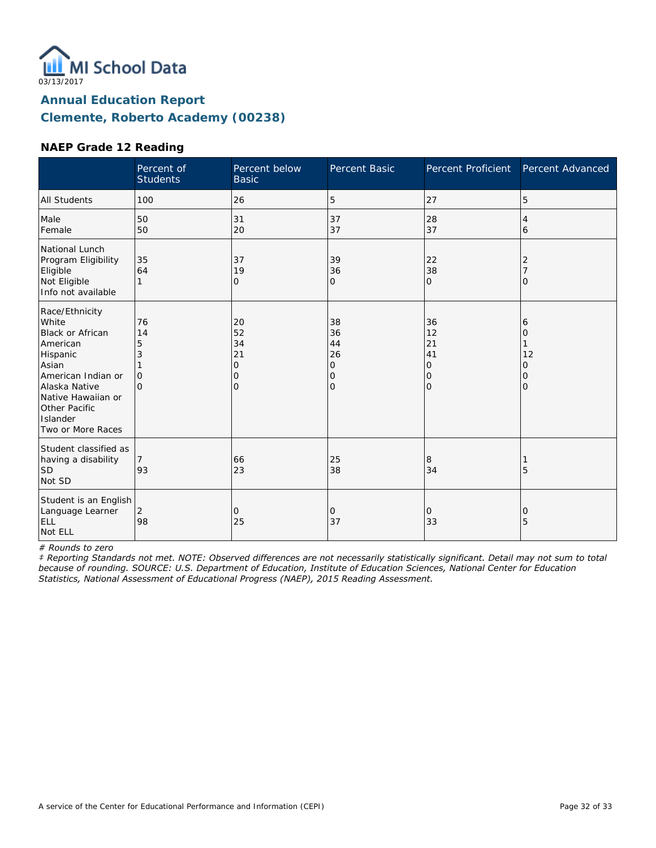

#### **NAEP Grade 12 Reading**

|                                                                                                                                                                                             | Percent of<br><b>Students</b>              | Percent below<br><b>Basic</b>                    | Percent Basic                                    | <b>Percent Proficient</b>            | Percent Advanced                   |
|---------------------------------------------------------------------------------------------------------------------------------------------------------------------------------------------|--------------------------------------------|--------------------------------------------------|--------------------------------------------------|--------------------------------------|------------------------------------|
| <b>All Students</b>                                                                                                                                                                         | 100                                        | 26                                               | 5                                                | 27                                   | 5                                  |
| Male<br>Female                                                                                                                                                                              | 50<br>50                                   | 31<br>20                                         | 37<br>37                                         | 28<br>37                             | 4<br>6                             |
| National Lunch<br>Program Eligibility<br>Eligible<br>Not Eligible<br>Info not available                                                                                                     | 35<br>64<br>1                              | 37<br>19<br>$\mathbf{O}$                         | 39<br>36<br>O                                    | 22<br>38<br>$\mathbf 0$              | 2<br>O                             |
| Race/Ethnicity<br>White<br>Black or African<br>American<br>Hispanic<br>Asian<br>American Indian or<br>Alaska Native<br>Native Hawaiian or<br>Other Pacific<br>Islander<br>Two or More Races | 76<br>14<br>5<br>3<br>$\Omega$<br>$\Omega$ | 20<br>52<br>34<br>21<br>0<br>0<br>$\overline{O}$ | 38<br>36<br>44<br>26<br>0<br>0<br>$\overline{O}$ | 36<br>12<br>21<br>41<br>0<br>0<br>lo | 6<br>0<br>12<br>0<br>0<br>$\Omega$ |
| Student classified as<br>having a disability<br><b>SD</b><br>Not SD                                                                                                                         | 93                                         | 66<br>23                                         | 25<br>38                                         | 8<br>34                              | 5                                  |
| Student is an English<br>Language Learner<br>ELL<br>Not ELL                                                                                                                                 | 2<br>98                                    | 0<br>25                                          | 0<br>37                                          | 0<br>33                              | 0<br>5                             |

*# Rounds to zero*

*‡ Reporting Standards not met. NOTE: Observed differences are not necessarily statistically significant. Detail may not sum to total because of rounding. SOURCE: U.S. Department of Education, Institute of Education Sciences, National Center for Education Statistics, National Assessment of Educational Progress (NAEP), 2015 Reading Assessment.*